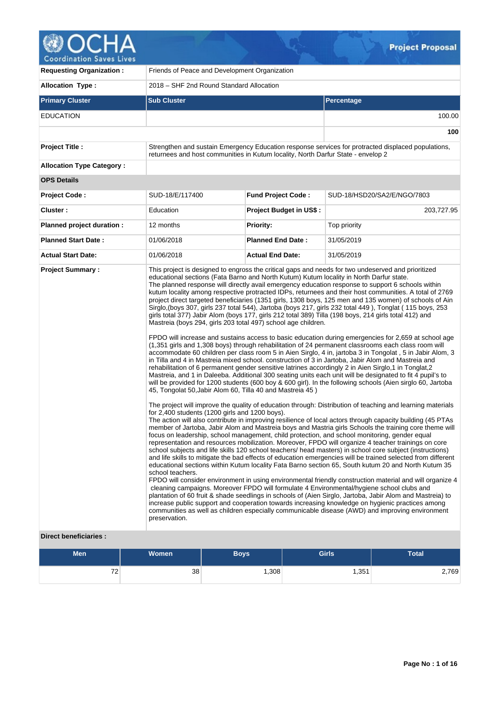

V.

| <b>Requesting Organization:</b>                         | Friends of Peace and Development Organization                                                                                                                                                                                                                                                                |                           |                                                                                                                                                                                                                                                                                                                                                                                                                                                                                                                                                                                                                                                                                                                                                                                                                                                                                                                                                                                                                                                                                                                                                                                                                                                                                                                                                                                                                                                                                                                                                                                                                                                                                                                                                                                                                                                                                                                                                                                                                                                                                                                                                                                                                                                                                                                                                                                                                                                                                                                                                                                                                                                                                                                                                                                                                                   |  |  |  |  |  |  |
|---------------------------------------------------------|--------------------------------------------------------------------------------------------------------------------------------------------------------------------------------------------------------------------------------------------------------------------------------------------------------------|---------------------------|-----------------------------------------------------------------------------------------------------------------------------------------------------------------------------------------------------------------------------------------------------------------------------------------------------------------------------------------------------------------------------------------------------------------------------------------------------------------------------------------------------------------------------------------------------------------------------------------------------------------------------------------------------------------------------------------------------------------------------------------------------------------------------------------------------------------------------------------------------------------------------------------------------------------------------------------------------------------------------------------------------------------------------------------------------------------------------------------------------------------------------------------------------------------------------------------------------------------------------------------------------------------------------------------------------------------------------------------------------------------------------------------------------------------------------------------------------------------------------------------------------------------------------------------------------------------------------------------------------------------------------------------------------------------------------------------------------------------------------------------------------------------------------------------------------------------------------------------------------------------------------------------------------------------------------------------------------------------------------------------------------------------------------------------------------------------------------------------------------------------------------------------------------------------------------------------------------------------------------------------------------------------------------------------------------------------------------------------------------------------------------------------------------------------------------------------------------------------------------------------------------------------------------------------------------------------------------------------------------------------------------------------------------------------------------------------------------------------------------------------------------------------------------------------------------------------------------------|--|--|--|--|--|--|
| <b>Allocation Type:</b>                                 | 2018 – SHF 2nd Round Standard Allocation                                                                                                                                                                                                                                                                     |                           |                                                                                                                                                                                                                                                                                                                                                                                                                                                                                                                                                                                                                                                                                                                                                                                                                                                                                                                                                                                                                                                                                                                                                                                                                                                                                                                                                                                                                                                                                                                                                                                                                                                                                                                                                                                                                                                                                                                                                                                                                                                                                                                                                                                                                                                                                                                                                                                                                                                                                                                                                                                                                                                                                                                                                                                                                                   |  |  |  |  |  |  |
| <b>Primary Cluster</b>                                  | <b>Sub Cluster</b>                                                                                                                                                                                                                                                                                           |                           | <b>Percentage</b>                                                                                                                                                                                                                                                                                                                                                                                                                                                                                                                                                                                                                                                                                                                                                                                                                                                                                                                                                                                                                                                                                                                                                                                                                                                                                                                                                                                                                                                                                                                                                                                                                                                                                                                                                                                                                                                                                                                                                                                                                                                                                                                                                                                                                                                                                                                                                                                                                                                                                                                                                                                                                                                                                                                                                                                                                 |  |  |  |  |  |  |
| <b>EDUCATION</b>                                        |                                                                                                                                                                                                                                                                                                              |                           | 100.00                                                                                                                                                                                                                                                                                                                                                                                                                                                                                                                                                                                                                                                                                                                                                                                                                                                                                                                                                                                                                                                                                                                                                                                                                                                                                                                                                                                                                                                                                                                                                                                                                                                                                                                                                                                                                                                                                                                                                                                                                                                                                                                                                                                                                                                                                                                                                                                                                                                                                                                                                                                                                                                                                                                                                                                                                            |  |  |  |  |  |  |
|                                                         |                                                                                                                                                                                                                                                                                                              |                           | 100                                                                                                                                                                                                                                                                                                                                                                                                                                                                                                                                                                                                                                                                                                                                                                                                                                                                                                                                                                                                                                                                                                                                                                                                                                                                                                                                                                                                                                                                                                                                                                                                                                                                                                                                                                                                                                                                                                                                                                                                                                                                                                                                                                                                                                                                                                                                                                                                                                                                                                                                                                                                                                                                                                                                                                                                                               |  |  |  |  |  |  |
| <b>Project Title:</b>                                   | returnees and host communities in Kutum locality, North Darfur State - envelop 2                                                                                                                                                                                                                             |                           | Strengthen and sustain Emergency Education response services for protracted displaced populations,                                                                                                                                                                                                                                                                                                                                                                                                                                                                                                                                                                                                                                                                                                                                                                                                                                                                                                                                                                                                                                                                                                                                                                                                                                                                                                                                                                                                                                                                                                                                                                                                                                                                                                                                                                                                                                                                                                                                                                                                                                                                                                                                                                                                                                                                                                                                                                                                                                                                                                                                                                                                                                                                                                                                |  |  |  |  |  |  |
| <b>Allocation Type Category:</b>                        |                                                                                                                                                                                                                                                                                                              |                           |                                                                                                                                                                                                                                                                                                                                                                                                                                                                                                                                                                                                                                                                                                                                                                                                                                                                                                                                                                                                                                                                                                                                                                                                                                                                                                                                                                                                                                                                                                                                                                                                                                                                                                                                                                                                                                                                                                                                                                                                                                                                                                                                                                                                                                                                                                                                                                                                                                                                                                                                                                                                                                                                                                                                                                                                                                   |  |  |  |  |  |  |
| <b>OPS Details</b>                                      |                                                                                                                                                                                                                                                                                                              |                           |                                                                                                                                                                                                                                                                                                                                                                                                                                                                                                                                                                                                                                                                                                                                                                                                                                                                                                                                                                                                                                                                                                                                                                                                                                                                                                                                                                                                                                                                                                                                                                                                                                                                                                                                                                                                                                                                                                                                                                                                                                                                                                                                                                                                                                                                                                                                                                                                                                                                                                                                                                                                                                                                                                                                                                                                                                   |  |  |  |  |  |  |
| <b>Project Code:</b>                                    | SUD-18/E/117400                                                                                                                                                                                                                                                                                              | <b>Fund Project Code:</b> | SUD-18/HSD20/SA2/E/NGO/7803                                                                                                                                                                                                                                                                                                                                                                                                                                                                                                                                                                                                                                                                                                                                                                                                                                                                                                                                                                                                                                                                                                                                                                                                                                                                                                                                                                                                                                                                                                                                                                                                                                                                                                                                                                                                                                                                                                                                                                                                                                                                                                                                                                                                                                                                                                                                                                                                                                                                                                                                                                                                                                                                                                                                                                                                       |  |  |  |  |  |  |
| Cluster:                                                | Education                                                                                                                                                                                                                                                                                                    | Project Budget in US\$:   | 203,727.95                                                                                                                                                                                                                                                                                                                                                                                                                                                                                                                                                                                                                                                                                                                                                                                                                                                                                                                                                                                                                                                                                                                                                                                                                                                                                                                                                                                                                                                                                                                                                                                                                                                                                                                                                                                                                                                                                                                                                                                                                                                                                                                                                                                                                                                                                                                                                                                                                                                                                                                                                                                                                                                                                                                                                                                                                        |  |  |  |  |  |  |
| Planned project duration :                              | 12 months                                                                                                                                                                                                                                                                                                    | <b>Priority:</b>          | Top priority                                                                                                                                                                                                                                                                                                                                                                                                                                                                                                                                                                                                                                                                                                                                                                                                                                                                                                                                                                                                                                                                                                                                                                                                                                                                                                                                                                                                                                                                                                                                                                                                                                                                                                                                                                                                                                                                                                                                                                                                                                                                                                                                                                                                                                                                                                                                                                                                                                                                                                                                                                                                                                                                                                                                                                                                                      |  |  |  |  |  |  |
| <b>Planned Start Date:</b>                              | 01/06/2018                                                                                                                                                                                                                                                                                                   | <b>Planned End Date:</b>  | 31/05/2019                                                                                                                                                                                                                                                                                                                                                                                                                                                                                                                                                                                                                                                                                                                                                                                                                                                                                                                                                                                                                                                                                                                                                                                                                                                                                                                                                                                                                                                                                                                                                                                                                                                                                                                                                                                                                                                                                                                                                                                                                                                                                                                                                                                                                                                                                                                                                                                                                                                                                                                                                                                                                                                                                                                                                                                                                        |  |  |  |  |  |  |
| <b>Actual Start Date:</b>                               | 01/06/2018                                                                                                                                                                                                                                                                                                   | <b>Actual End Date:</b>   | 31/05/2019                                                                                                                                                                                                                                                                                                                                                                                                                                                                                                                                                                                                                                                                                                                                                                                                                                                                                                                                                                                                                                                                                                                                                                                                                                                                                                                                                                                                                                                                                                                                                                                                                                                                                                                                                                                                                                                                                                                                                                                                                                                                                                                                                                                                                                                                                                                                                                                                                                                                                                                                                                                                                                                                                                                                                                                                                        |  |  |  |  |  |  |
| <b>Project Summary:</b><br><b>Direct beneficiaries:</b> | educational sections (Fata Barno and North Kutum) Kutum locality in North Darfur state.<br>Mastreia (boys 294, girls 203 total 497) school age children.<br>45, Tongolat 50, Jabir Alom 60, Tilla 40 and Mastreia 45)<br>for 2,400 students (1200 girls and 1200 boys).<br>school teachers.<br>preservation. |                           | This project is designed to engross the critical gaps and needs for two undeserved and prioritized<br>The planned response will directly avail emergency education response to support 6 schools within<br>kutum locality among respective protracted IDPs, returnees and their host communities. A total of 2769<br>project direct targeted beneficiaries (1351 girls, 1308 boys, 125 men and 135 women) of schools of Ain<br>Sirglo, (boys 307, girls 237 total 544), Jartoba (boys 217, girls 232 total 449), Tonglat (115 boys, 253<br>girls total 377) Jabir Alom (boys 177, girls 212 total 389) Tilla (198 boys, 214 girls total 412) and<br>FPDO will increase and sustains access to basic education during emergencies for 2,659 at school age<br>(1,351 girls and 1,308 boys) through rehabilitation of 24 permanent classrooms each class room will<br>accommodate 60 children per class room 5 in Aien Sirglo, 4 in, jartoba 3 in Tongolat, 5 in Jabir Alom, 3<br>in Tilla and 4 in Mastreia mixed school. construction of 3 in Jartoba, Jabir Alom and Mastreia and<br>rehabilitation of 6 permanent gender sensitive latrines accordingly 2 in Aien Sirglo,1 in Tonglat,2<br>Mastreia, and 1 in Daleeba. Additional 300 seating units each unit will be designated to fit 4 pupil's to<br>will be provided for 1200 students (600 boy & 600 girl). In the following schools (Aien sirglo 60, Jartoba<br>The project will improve the quality of education through: Distribution of teaching and learning materials<br>The action will also contribute in improving resilience of local actors through capacity building (45 PTAs<br>member of Jartoba, Jabir Alom and Mastreia boys and Mastria girls Schools the training core theme will<br>focus on leadership, school management, child protection, and school monitoring, gender equal<br>representation and resources mobilization. Moreover, FPDO will organize 4 teacher trainings on core<br>school subjects and life skills 120 school teachers/ head masters) in school core subject (instructions)<br>and life skills to mitigate the bad effects of education emergencies will be trained selected from different<br>educational sections within Kutum locality Fata Barno section 65, South kutum 20 and North Kutum 35<br>FPDO will consider environment in using environmental friendly construction material and will organize 4<br>cleaning campaigns. Moreover FPDO will formulate 4 Environmental/hygiene school clubs and<br>plantation of 60 fruit & shade seedlings in schools of (Aien Sirglo, Jartoba, Jabir Alom and Mastreia) to<br>increase public support and cooperation towards increasing knowledge on hygienic practices among<br>communities as well as children especially communicable disease (AWD) and improving environment |  |  |  |  |  |  |

 $Q_{\tau}$ 

| <b>Men</b>   | <b>Women</b> | <b>Boys</b> | <b>Girls</b> | <b>Total</b> |
|--------------|--------------|-------------|--------------|--------------|
| 70<br>$\sim$ | 38           | ,308        | 1,351        | 2,769        |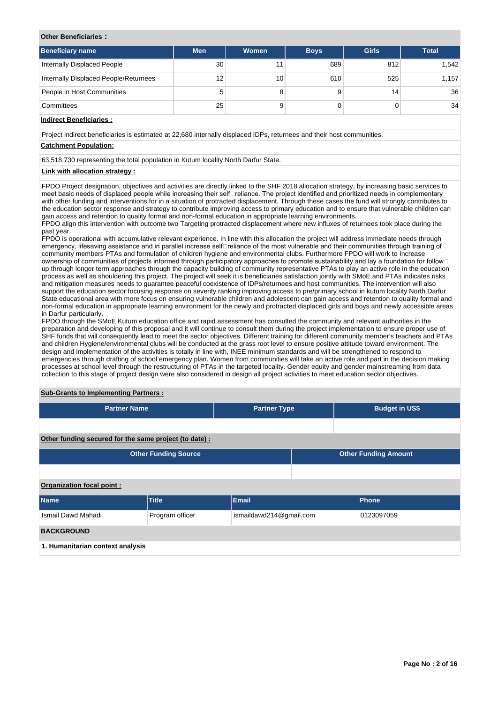#### **Other Beneficiaries :**

| <b>Beneficiary name</b>               | <b>Men</b> | <b>Women</b> | <b>Boys</b> | <b>Girls</b> | <b>Total</b>    |
|---------------------------------------|------------|--------------|-------------|--------------|-----------------|
| Internally Displaced People           | 30         |              | 689         | 812          | 1,542           |
| Internally Displaced People/Returnees | 12         | 10           | 610         | 525          | 1.157           |
| People in Host Communities            | 5          |              |             | 14           | 36 <sup>°</sup> |
| Committees                            | 25         |              |             |              | 34              |

### **Indirect Beneficiaries :**

Project indirect beneficiaries is estimated at 22,680 internally displaced IDPs, returnees and their host communities.

# **Catchment Population:**

63,518,730 representing the total population in Kutum locality North Darfur State.

### **Link with allocation strategy :**

FPDO Project designation, objectives and activities are directly linked to the SHF 2018 allocation strategy, by increasing basic services to meet basic needs of displaced people while increasing their self⊡reliance. The project identified and prioritized needs in complementary with other funding and interventions for in a situation of protracted displacement. Through these cases the fund will strongly contributes to the education sector response and strategy to contribute improving access to primary education and to ensure that vulnerable children can gain access and retention to quality formal and non-formal education in appropriate learning environments.

FPDO align this intervention with outcome two Targeting protracted displacement where new influxes of returnees took place during the past year.

FPDO is operational with accumulative relevant experience. In line with this allocation the project will address immediate needs through emergency, lifesaving assistance and in parallel increase selfereliance of the most vulnerable and their communities through training of community members PTAs and formulation of children hygiene and environmental clubs. Furthermore FPDO will work to Increase ownership of communities of projects informed through participatory approaches to promote sustainability and lay a foundation for follow up through longer term approaches through the capacity building of community representative PTAs to play an active role in the education process as well as shouldering this project. The project will seek it is beneficiaries satisfaction jointly with SMoE and PTAs indicates risks and mitigation measures needs to guarantee peaceful coexistence of IDPs/returnees and host communities. The intervention will also support the education sector focusing response on severity ranking improving access to pre/primary school in kutum locality North Darfur State educational area with more focus on ensuring vulnerable children and adolescent can gain access and retention to quality formal and non-formal education in appropriate learning environment for the newly and protracted displaced girls and boys and newly accessible areas in Darfur particularly.

FPDO through the SMoE Kutum education office and rapid assessment has consulted the community and relevant authorities in the preparation and developing of this proposal and it will continue to consult them during the project implementation to ensure proper use of SHF funds that will consequently lead to meet the sector objectives. Different training for different community member's teachers and PTAs and children Hygiene/environmental clubs will be conducted at the grass root level to ensure positive attitude toward environment. The design and implementation of the activities is totally in line with, INEE minimum standards and will be strengthened to respond to emergencies through drafting of school emergency plan. Women from communities will take an active role and part in the decision making processes at school level through the restructuring of PTAs in the targeted locality. Gender equity and gender mainstreaming from data collection to this stage of project design were also considered in design all project activities to meet education sector objectives.

#### **Sub-Grants to Implementing Partners :**

| <b>Partner Name</b>                                   |                             | <b>Partner Type</b>         |  | <b>Budget in US\$</b> |            |  |  |  |  |  |
|-------------------------------------------------------|-----------------------------|-----------------------------|--|-----------------------|------------|--|--|--|--|--|
|                                                       |                             |                             |  |                       |            |  |  |  |  |  |
| Other funding secured for the same project (to date): |                             |                             |  |                       |            |  |  |  |  |  |
|                                                       | <b>Other Funding Source</b> | <b>Other Funding Amount</b> |  |                       |            |  |  |  |  |  |
|                                                       |                             |                             |  |                       |            |  |  |  |  |  |
| Organization focal point:                             |                             |                             |  |                       |            |  |  |  |  |  |
| <b>Name</b>                                           | <b>Title</b>                | Email                       |  | Phone                 |            |  |  |  |  |  |
| Ismail Dawd Mahadi                                    | Program officer             | ismaildawd214@gmail.com     |  |                       | 0123097059 |  |  |  |  |  |
| <b>BACKGROUND</b>                                     |                             |                             |  |                       |            |  |  |  |  |  |

**1. Humanitarian context analysis**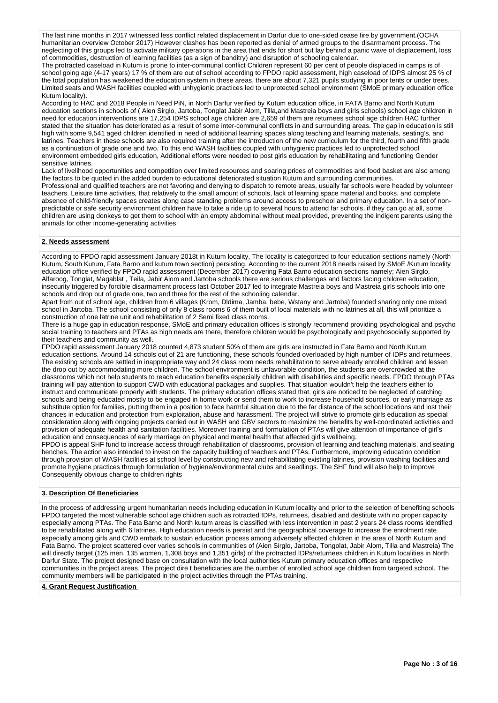The last nine months in 2017 witnessed less conflict related displacement in Darfur due to one-sided cease fire by government.(OCHA humanitarian overview October 2017) However clashes has been reported as denial of armed groups to the disarmament process. The neglecting of this groups led to activate military operations in the area that ends for short but lay behind a panic wave of displacement, loss of commodities, destruction of learning facilities (as a sign of banditry) and disruption of schooling calendar.

The protracted caseload in Kutum is prone to inter-communal conflict Children represent 60 per cent of people displaced in camps is of school going age (4-17 years) 17 % of them are out of school according to FPDO rapid assessment, high caseload of IDPS almost 25 % of the total population has weakened the education system in these areas, there are about 7,321 pupils studying in poor tents or under trees. Limited seats and WASH facilities coupled with unhygienic practices led to unprotected school environment (SMoE primary education office Kutum locality).

According to HAC and 2018 People in Need PiN, in North Darfur verified by Kutum education office, in FATA Barno and North Kutum education sections in schools of ( Aien Sirglo, Jartoba, Tonglat Jabir Alom, Tilla,and Mastreia boys and girls schools) school age children in need for education interventions are 17,254 IDPS school age children are 2,659 of them are returnees school age children HAC further stated that the situation has deteriorated as a result of some inter-communal conflicts in and surrounding areas. The gap in education is still high with some 9,541 aged children identified in need of additional learning spaces along teaching and learning materials, seating's, and latrines. Teachers in these schools are also required training after the introduction of the new curriculum for the third, fourth and fifth grade as a continuation of grade one and two. To this end WASH facilities coupled with unhygienic practices led to unprotected school environment embedded girls education, Additional efforts were needed to post girls education by rehabilitating and functioning Gender sensitive latrines

Lack of livelihood opportunities and competition over limited resources and soaring prices of commodities and food basket are also among the factors to be quoted in the added burden to educational deteriorated situation Kutum and surrounding communities. Professional and qualified teachers are not favoring and denying to dispatch to remote areas, usually far schools were headed by volunteer teachers. Leisure time activities, that relatively to the small amount of schools, lack of learning space material and books, and complete absence of child-friendly spaces creates along case standing problems around access to preschool and primary education. In a set of nonpredictable or safe security environment children have to take a ride up to several hours to attend far schools, if they can go at all, some children are using donkeys to get them to school with an empty abdominal without meal provided, preventing the indigent parents using the animals for other income-generating activities

### **2. Needs assessment**

According to FPDO rapid assessment January 2018t in Kutum locality, The locality is categorized to four education sections namely (North Kutum, South Kutum, Fata Barno and kutum town section) persisting. According to the current 2018 needs raised by SMoE /Kutum locality education office verified by FPDO rapid assessment (December 2017) covering Fata Barno education sections namely; Aien Sirglo, Alfaroog, Tonglat, Magablat , Teila, Jabir Alom and Jartoba schools there are serious challenges and factors facing children education, insecurity triggered by forcible disarmament process last October 2017 led to integrate Mastreia boys and Mastreia girls schools into one schools and drop out of grade one, two and three for the rest of the schooling calendar.

Apart from out of school age, children from 6 villages (Krom, Dldima, Jamba, bebe, Wstany and Jartoba) founded sharing only one mixed school in Jartoba. The school consisting of only 8 class rooms 6 of them built of local materials with no latrines at all, this will prioritize a construction of one latrine unit and rehabilitation of 2 Semi fixed class rooms.

There is a huge gap in education response, SMoE and primary education offices is strongly recommend providing psychological and psycho social training to teachers and PTAs as high needs are there, therefore children would be psychologically and psychosocially supported by their teachers and community as well.

FPDO rapid assessment January 2018 counted 4,873 student 50% of them are girls are instructed in Fata Barno and North Kutum education sections. Around 14 schools out of 21 are functioning, these schools founded overloaded by high number of IDPs and returnees. The existing schools are settled in inappropriate way and 24 class room needs rehabilitation to serve already enrolled children and lessen the drop out by accommodating more children. The school environment is unfavorable condition, the students are overcrowded at the classrooms which not help students to reach education benefits especially children with disabilities and specific needs. FPDO through PTAs training will pay attention to support CWD with educational packages and supplies. That situation wouldn't help the teachers either to instruct and communicate properly with students. The primary education offices stated that: girls are noticed to be neglected of catching schools and being educated mostly to be engaged in home work or send them to work to increase household sources, or early marriage as substitute option for families, putting them in a position to face harmful situation due to the far distance of the school locations and lost their chances in education and protection from exploitation, abuse and harassment. The project will strive to promote girls education as special consideration along with ongoing projects carried out in WASH and GBV sectors to maximize the benefits by well-coordinated activities and provision of adequate health and sanitation facilities. Moreover training and formulation of PTAs will give attention of importance of girl's education and consequences of early marriage on physical and mental health that affected girl's wellbeing.

FPDO is appeal SHF fund to increase access through rehabilitation of classrooms, provision of learning and teaching materials, and seating benches. The action also intended to invest on the capacity building of teachers and PTAs. Furthermore, improving education condition through provision of WASH facilities at school level by constructing new and rehabilitating existing latrines, provision washing facilities and promote hygiene practices through formulation of hygiene/environmental clubs and seedlings. The SHF fund will also help to improve Consequently obvious change to children rights

## **3. Description Of Beneficiaries**

In the process of addressing urgent humanitarian needs including education in Kutum locality and prior to the selection of benefiting schools FPDO targeted the most vulnerable school age children such as rotracted IDPs, returnees, disabled and destitute with no proper capacity especially among PTAs. The Fata Barno and North kutum areas is classified with less intervention in past 2 years 24 class rooms identified to be rehabilitated along with 6 latrines. High education needs is persist and the geographical coverage to increase the enrolment rate especially among girls and CWD embark to sustain education process among adversely affected children in the area of North Kutum and Fata Barno. The project scattered over varies schools in communities of (Aien Sirglo, Jartoba, Tongolat, Jabir Alom, Tilla and Mastreia) The will directly target (125 men, 135 women, 1,308 boys and 1,351 girls) of the protracted IDPs/returnees children in Kutum localities in North Darfur State. The project designed base on consultation with the local authorities Kutum primary education offices and respective communities in the project areas. The project dire t beneficiaries are the number of enrolled school age children from targeted school. The community members will be participated in the project activities through the PTAs training.

### **4. Grant Request Justification**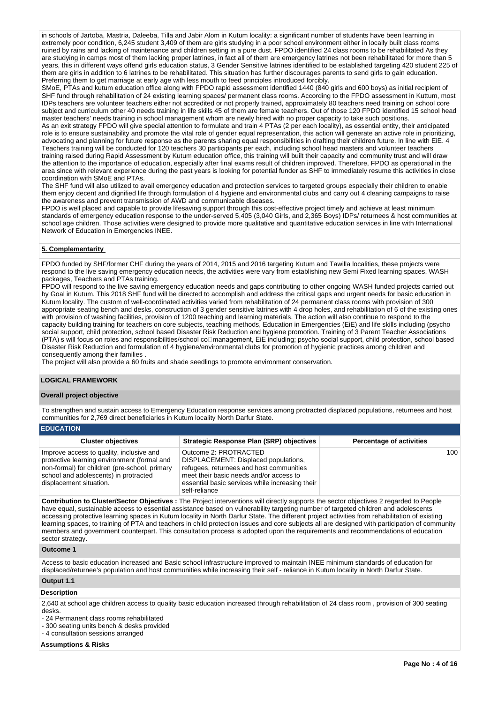in schools of Jartoba, Mastria, Daleeba, Tilla and Jabir Alom in Kutum locality: a significant number of students have been learning in extremely poor condition, 6,245 student 3,409 of them are girls studying in a poor school environment either in locally built class rooms ruined by rains and lacking of maintenance and children setting in a pure dust. FPDO identified 24 class rooms to be rehabilitated As they are studying in camps most of them lacking proper latrines, in fact all of them are emergency latrines not been rehabilitated for more than 5 years, this in different ways offend girls education status, 3 Gender Sensitive latrines identified to be established targeting 420 student 225 of them are girls in addition to 6 latrines to be rehabilitated. This situation has further discourages parents to send girls to gain education. Preferring them to get marriage at early age with less mouth to feed principles introduced forcibly.

SMoE, PTAs and kutum education office along with FPDO rapid assessment identified 1440 (840 girls and 600 boys) as initial recipient of SHF fund through rehabilitation of 24 existing learning spaces/ permanent class rooms. According to the FPDO assessment in Kuttum, most IDPs teachers are volunteer teachers either not accredited or not properly trained, approximately 80 teachers need training on school core subject and curriculum other 40 needs training in life skills 45 of them are female teachers. Out of those 120 FPDO identified 15 school head master teachers' needs training in school management whom are newly hired with no proper capacity to take such positions.

As an exit strategy FPDO will give special attention to formulate and train 4 PTAs (2 per each locality), as essential entity, their anticipated role is to ensure sustainability and promote the vital role of gender equal representation, this action will generate an active role in prioritizing, advocating and planning for future response as the parents sharing equal responsibilities in drafting their children future. In line with EiE. 4 Teachers training will be conducted for 120 teachers 30 participants per each, including school head masters and volunteer teachers training raised during Rapid Assessment by Kutum education office, this training will built their capacity and community trust and will draw the attention to the importance of education, especially after final exams result of children improved. Therefore, FPDO as operational in the area since with relevant experience during the past years is looking for potential funder as SHF to immediately resume this activities in close coordination with SMoE and PTAs.

The SHF fund will also utilized to avail emergency education and protection services to targeted groups especially their children to enable them enjoy decent and dignified life through formulation of 4 hygiene and environmental clubs and carry out 4 cleaning campaigns to raise the awareness and prevent transmission of AWD and communicable diseases.

FPDO is well placed and capable to provide lifesaving support through this cost-effective project timely and achieve at least minimum standards of emergency education response to the under-served 5,405 (3,040 Girls, and 2,365 Boys) IDPs/ returnees & host communities at school age children. Those activities were designed to provide more qualitative and quantitative education services in line with International Network of Education in Emergencies INEE.

### **5. Complementarity**

FPDO funded by SHF/former CHF during the years of 2014, 2015 and 2016 targeting Kutum and Tawilla localities, these projects were respond to the live saving emergency education needs, the activities were vary from establishing new Semi Fixed learning spaces, WASH packages, Teachers and PTAs training.

FPDO will respond to the live saving emergency education needs and gaps contributing to other ongoing WASH funded projects carried out by Goal in Kutum. This 2018 SHF fund will be directed to accomplish and address the critical gaps and urgent needs for basic education in Kutum locality. The custom of well-coordinated activities varied from rehabilitation of 24 permanent class rooms with provision of 300 appropriate seating bench and desks, construction of 3 gender sensitive latrines with 4 drop holes, and rehabilitation of 6 of the existing ones with provision of washing facilities, provision of 1200 teaching and learning materials. The action will also continue to respond to the capacity building training for teachers on core subjects, teaching methods, Education in Emergencies (EiE) and life skills including (psycho social support, child protection, school based Disaster Risk Reduction and hygiene promotion. Training of 3 Parent Teacher Associations (PTA) s will focus on roles and responsibilities/school collmanagement, EiE including; psycho social support, child protection, school based Disaster Risk Reduction and formulation of 4 hygiene/environmental clubs for promotion of hygienic practices among children and consequently among their families .

The project will also provide a 60 fruits and shade seedlings to promote environment conservation.

### **LOGICAL FRAMEWORK**

### **Overall project objective**

To strengthen and sustain access to Emergency Education response services among protracted displaced populations, returnees and host communities for 2,769 direct beneficiaries in Kutum locality North Darfur State.

| <b>EDUCATION</b>                                                                                                                                                                                             |                                                                                                                                                                                                                          |                                 |
|--------------------------------------------------------------------------------------------------------------------------------------------------------------------------------------------------------------|--------------------------------------------------------------------------------------------------------------------------------------------------------------------------------------------------------------------------|---------------------------------|
| <b>Cluster objectives</b>                                                                                                                                                                                    | <b>Strategic Response Plan (SRP) objectives</b>                                                                                                                                                                          | <b>Percentage of activities</b> |
| Improve access to quality, inclusive and<br>protective learning environment (formal and<br>non-formal) for children (pre-school, primary<br>school and adolescents) in protracted<br>displacement situation. | Outcome 2: PROTRACTED<br>DISPLACEMENT: Displaced populations,<br>refugees, returnees and host communities<br>meet their basic needs and/or access to<br>essential basic services while increasing their<br>self-reliance | 100 <sup>1</sup>                |

**Contribution to Cluster/Sector Objectives :** The Project interventions will directly supports the sector objectives 2 regarded to People have equal, sustainable access to essential assistance based on vulnerability targeting number of targeted children and adolescents accessing protective learning spaces in Kutum locality in North Darfur State. The different project activities from rehabilitation of existing learning spaces, to training of PTA and teachers in child protection issues and core subjects all are designed with participation of community members and government counterpart. This consultation process is adopted upon the requirements and recommendations of education sector strategy.

#### **Outcome 1**

Access to basic education increased and Basic school infrastructure improved to maintain INEE minimum standards of education for displaced/returnee's population and host communities while increasing their self - reliance in Kutum locality in North Darfur State.

## **Output 1.1**

### **Description**

2,640 at school age children access to quality basic education increased through rehabilitation of 24 class room , provision of 300 seating desks.

- 24 Permanent class rooms rehabilitated

- 300 seating units bench & desks provided - 4 consultation sessions arranged

## **Assumptions & Risks**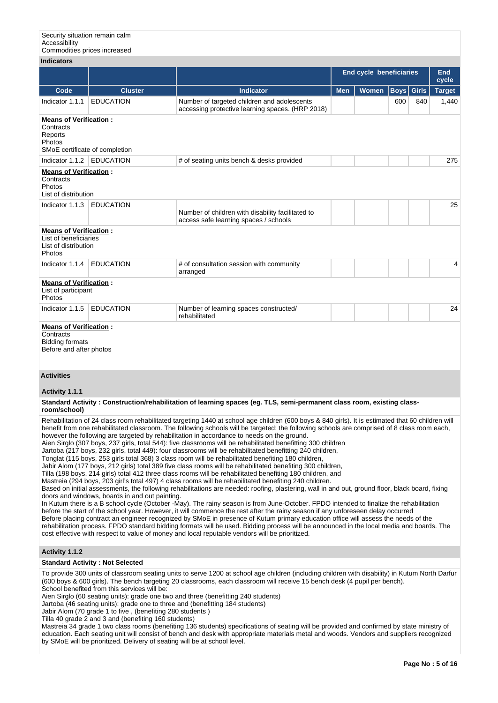Security situation remain calm Accessibility Commodities prices increased

| <b>Indicators</b>                                                                                                                                                                                                                                                                                                                                                                                                                                                                                                                                                                                                                                                                                                                                                                                                                                                                                                                                                                                                                                                                                                                                                                                                                                                                                                                                                                                                                                                                                                                                                                                                                                                                                                                                                                                                                                                                                                                                                                                                                                                                       |                                                                                                           |                                                                                                                                                                                                                                                                                                                                                                                                                                                     |                                |              |             |              |               |  |  |  |
|-----------------------------------------------------------------------------------------------------------------------------------------------------------------------------------------------------------------------------------------------------------------------------------------------------------------------------------------------------------------------------------------------------------------------------------------------------------------------------------------------------------------------------------------------------------------------------------------------------------------------------------------------------------------------------------------------------------------------------------------------------------------------------------------------------------------------------------------------------------------------------------------------------------------------------------------------------------------------------------------------------------------------------------------------------------------------------------------------------------------------------------------------------------------------------------------------------------------------------------------------------------------------------------------------------------------------------------------------------------------------------------------------------------------------------------------------------------------------------------------------------------------------------------------------------------------------------------------------------------------------------------------------------------------------------------------------------------------------------------------------------------------------------------------------------------------------------------------------------------------------------------------------------------------------------------------------------------------------------------------------------------------------------------------------------------------------------------------|-----------------------------------------------------------------------------------------------------------|-----------------------------------------------------------------------------------------------------------------------------------------------------------------------------------------------------------------------------------------------------------------------------------------------------------------------------------------------------------------------------------------------------------------------------------------------------|--------------------------------|--------------|-------------|--------------|---------------|--|--|--|
|                                                                                                                                                                                                                                                                                                                                                                                                                                                                                                                                                                                                                                                                                                                                                                                                                                                                                                                                                                                                                                                                                                                                                                                                                                                                                                                                                                                                                                                                                                                                                                                                                                                                                                                                                                                                                                                                                                                                                                                                                                                                                         |                                                                                                           |                                                                                                                                                                                                                                                                                                                                                                                                                                                     | <b>End cycle beneficiaries</b> |              |             |              | End<br>cycle  |  |  |  |
| Code                                                                                                                                                                                                                                                                                                                                                                                                                                                                                                                                                                                                                                                                                                                                                                                                                                                                                                                                                                                                                                                                                                                                                                                                                                                                                                                                                                                                                                                                                                                                                                                                                                                                                                                                                                                                                                                                                                                                                                                                                                                                                    | <b>Cluster</b>                                                                                            | <b>Indicator</b>                                                                                                                                                                                                                                                                                                                                                                                                                                    | <b>Men</b>                     | <b>Women</b> | <b>Boys</b> | <b>Girls</b> | <b>Target</b> |  |  |  |
| Indicator 1.1.1                                                                                                                                                                                                                                                                                                                                                                                                                                                                                                                                                                                                                                                                                                                                                                                                                                                                                                                                                                                                                                                                                                                                                                                                                                                                                                                                                                                                                                                                                                                                                                                                                                                                                                                                                                                                                                                                                                                                                                                                                                                                         | <b>EDUCATION</b>                                                                                          | Number of targeted children and adolescents<br>accessing protective learning spaces. (HRP 2018)                                                                                                                                                                                                                                                                                                                                                     |                                |              | 600         | 840          | 1,440         |  |  |  |
| <b>Means of Verification:</b><br>Contracts<br>Reports<br>Photos<br>SMoE certificate of completion                                                                                                                                                                                                                                                                                                                                                                                                                                                                                                                                                                                                                                                                                                                                                                                                                                                                                                                                                                                                                                                                                                                                                                                                                                                                                                                                                                                                                                                                                                                                                                                                                                                                                                                                                                                                                                                                                                                                                                                       |                                                                                                           |                                                                                                                                                                                                                                                                                                                                                                                                                                                     |                                |              |             |              |               |  |  |  |
| Indicator 1.1.2                                                                                                                                                                                                                                                                                                                                                                                                                                                                                                                                                                                                                                                                                                                                                                                                                                                                                                                                                                                                                                                                                                                                                                                                                                                                                                                                                                                                                                                                                                                                                                                                                                                                                                                                                                                                                                                                                                                                                                                                                                                                         | <b>EDUCATION</b>                                                                                          | # of seating units bench & desks provided                                                                                                                                                                                                                                                                                                                                                                                                           |                                |              |             |              | 275           |  |  |  |
| <b>Means of Verification:</b><br>Contracts<br>Photos<br>List of distribution                                                                                                                                                                                                                                                                                                                                                                                                                                                                                                                                                                                                                                                                                                                                                                                                                                                                                                                                                                                                                                                                                                                                                                                                                                                                                                                                                                                                                                                                                                                                                                                                                                                                                                                                                                                                                                                                                                                                                                                                            |                                                                                                           |                                                                                                                                                                                                                                                                                                                                                                                                                                                     |                                |              |             |              |               |  |  |  |
| Indicator 1.1.3                                                                                                                                                                                                                                                                                                                                                                                                                                                                                                                                                                                                                                                                                                                                                                                                                                                                                                                                                                                                                                                                                                                                                                                                                                                                                                                                                                                                                                                                                                                                                                                                                                                                                                                                                                                                                                                                                                                                                                                                                                                                         | <b>EDUCATION</b>                                                                                          | Number of children with disability facilitated to<br>access safe learning spaces / schools                                                                                                                                                                                                                                                                                                                                                          |                                |              |             |              | 25            |  |  |  |
| <b>Means of Verification:</b><br>List of beneficiaries<br>List of distribution<br>Photos                                                                                                                                                                                                                                                                                                                                                                                                                                                                                                                                                                                                                                                                                                                                                                                                                                                                                                                                                                                                                                                                                                                                                                                                                                                                                                                                                                                                                                                                                                                                                                                                                                                                                                                                                                                                                                                                                                                                                                                                |                                                                                                           |                                                                                                                                                                                                                                                                                                                                                                                                                                                     |                                |              |             |              |               |  |  |  |
| Indicator 1.1.4                                                                                                                                                                                                                                                                                                                                                                                                                                                                                                                                                                                                                                                                                                                                                                                                                                                                                                                                                                                                                                                                                                                                                                                                                                                                                                                                                                                                                                                                                                                                                                                                                                                                                                                                                                                                                                                                                                                                                                                                                                                                         | <b>EDUCATION</b>                                                                                          | # of consultation session with community<br>arranged                                                                                                                                                                                                                                                                                                                                                                                                |                                |              |             |              | 4             |  |  |  |
| <b>Means of Verification:</b><br>List of participant<br>Photos                                                                                                                                                                                                                                                                                                                                                                                                                                                                                                                                                                                                                                                                                                                                                                                                                                                                                                                                                                                                                                                                                                                                                                                                                                                                                                                                                                                                                                                                                                                                                                                                                                                                                                                                                                                                                                                                                                                                                                                                                          |                                                                                                           |                                                                                                                                                                                                                                                                                                                                                                                                                                                     |                                |              |             |              |               |  |  |  |
| Indicator 1.1.5                                                                                                                                                                                                                                                                                                                                                                                                                                                                                                                                                                                                                                                                                                                                                                                                                                                                                                                                                                                                                                                                                                                                                                                                                                                                                                                                                                                                                                                                                                                                                                                                                                                                                                                                                                                                                                                                                                                                                                                                                                                                         | <b>EDUCATION</b>                                                                                          | Number of learning spaces constructed/<br>rehabilitated                                                                                                                                                                                                                                                                                                                                                                                             |                                |              |             |              | 24            |  |  |  |
| Contracts<br><b>Bidding formats</b><br>Before and after photos                                                                                                                                                                                                                                                                                                                                                                                                                                                                                                                                                                                                                                                                                                                                                                                                                                                                                                                                                                                                                                                                                                                                                                                                                                                                                                                                                                                                                                                                                                                                                                                                                                                                                                                                                                                                                                                                                                                                                                                                                          |                                                                                                           |                                                                                                                                                                                                                                                                                                                                                                                                                                                     |                                |              |             |              |               |  |  |  |
| <b>Activities</b>                                                                                                                                                                                                                                                                                                                                                                                                                                                                                                                                                                                                                                                                                                                                                                                                                                                                                                                                                                                                                                                                                                                                                                                                                                                                                                                                                                                                                                                                                                                                                                                                                                                                                                                                                                                                                                                                                                                                                                                                                                                                       |                                                                                                           |                                                                                                                                                                                                                                                                                                                                                                                                                                                     |                                |              |             |              |               |  |  |  |
| Activity 1.1.1                                                                                                                                                                                                                                                                                                                                                                                                                                                                                                                                                                                                                                                                                                                                                                                                                                                                                                                                                                                                                                                                                                                                                                                                                                                                                                                                                                                                                                                                                                                                                                                                                                                                                                                                                                                                                                                                                                                                                                                                                                                                          |                                                                                                           |                                                                                                                                                                                                                                                                                                                                                                                                                                                     |                                |              |             |              |               |  |  |  |
| Standard Activity: Construction/rehabilitation of learning spaces (eg. TLS, semi-permanent class room, existing class-<br>room/school)<br>Rehabilitation of 24 class room rehabilitated targeting 1440 at school age children (600 boys & 840 girls). It is estimated that 60 children will<br>benefit from one rehabilitated classroom. The following schools will be targeted: the following schools are comprised of 8 class room each,<br>however the following are targeted by rehabilitation in accordance to needs on the ground.<br>Aien Sirglo (307 boys, 237 girls, total 544): five classrooms will be rehabilitated benefitting 300 children<br>Jartoba (217 boys, 232 girls, total 449): four classrooms will be rehabilitated benefitting 240 children,<br>Tonglat (115 boys, 253 girls total 368) 3 class room will be rehabilitated benefiting 180 children,<br>Jabir Alom (177 boys, 212 girls) total 389 five class rooms will be rehabilitated benefiting 300 children,<br>Tilla (198 boys, 214 girls) total 412 three class rooms will be rehabilitated benefiting 180 children, and<br>Mastreia (294 boys, 203 girl's total 497) 4 class rooms will be rehabilitated benefiting 240 children.<br>Based on initial assessments, the following rehabilitations are needed: roofing, plastering, wall in and out, ground floor, black board, fixing<br>doors and windows, boards in and out painting.<br>In Kutum there is a B school cycle (October -May). The rainy season is from June-October. FPDO intended to finalize the rehabilitation<br>before the start of the school year. However, it will commence the rest after the rainy season if any unforeseen delay occurred<br>Before placing contract an engineer recognized by SMoE in presence of Kutum primary education office will assess the needs of the<br>rehabilitation process. FPDO standard bidding formats will be used. Bidding process will be announced in the local media and boards. The<br>cost effective with respect to value of money and local reputable vendors will be prioritized. |                                                                                                           |                                                                                                                                                                                                                                                                                                                                                                                                                                                     |                                |              |             |              |               |  |  |  |
| Activity 1.1.2                                                                                                                                                                                                                                                                                                                                                                                                                                                                                                                                                                                                                                                                                                                                                                                                                                                                                                                                                                                                                                                                                                                                                                                                                                                                                                                                                                                                                                                                                                                                                                                                                                                                                                                                                                                                                                                                                                                                                                                                                                                                          |                                                                                                           |                                                                                                                                                                                                                                                                                                                                                                                                                                                     |                                |              |             |              |               |  |  |  |
|                                                                                                                                                                                                                                                                                                                                                                                                                                                                                                                                                                                                                                                                                                                                                                                                                                                                                                                                                                                                                                                                                                                                                                                                                                                                                                                                                                                                                                                                                                                                                                                                                                                                                                                                                                                                                                                                                                                                                                                                                                                                                         | <b>Standard Activity: Not Selected</b>                                                                    |                                                                                                                                                                                                                                                                                                                                                                                                                                                     |                                |              |             |              |               |  |  |  |
|                                                                                                                                                                                                                                                                                                                                                                                                                                                                                                                                                                                                                                                                                                                                                                                                                                                                                                                                                                                                                                                                                                                                                                                                                                                                                                                                                                                                                                                                                                                                                                                                                                                                                                                                                                                                                                                                                                                                                                                                                                                                                         | School benefited from this services will be:<br>Jabir Alom (70 grade 1 to five, (benefiting 280 students) | To provide 300 units of classroom seating units to serve 1200 at school age children (including children with disability) in Kutum North Darfur<br>(600 boys & 600 girls). The bench targeting 20 classrooms, each classroom will receive 15 bench desk (4 pupil per bench).<br>Aien Sirglo (60 seating units): grade one two and three (benefitting 240 students)<br>Jartoba (46 seating units): grade one to three and (benefitting 184 students) |                                |              |             |              |               |  |  |  |

Tilla 40 grade 2 and 3 and (benefiting 160 students)

Mastreia 34 grade 1 two class rooms (benefiting 136 students) specifications of seating will be provided and confirmed by state ministry of education. Each seating unit will consist of bench and desk with appropriate materials metal and woods. Vendors and suppliers recognized by SMoE will be prioritized. Delivery of seating will be at school level.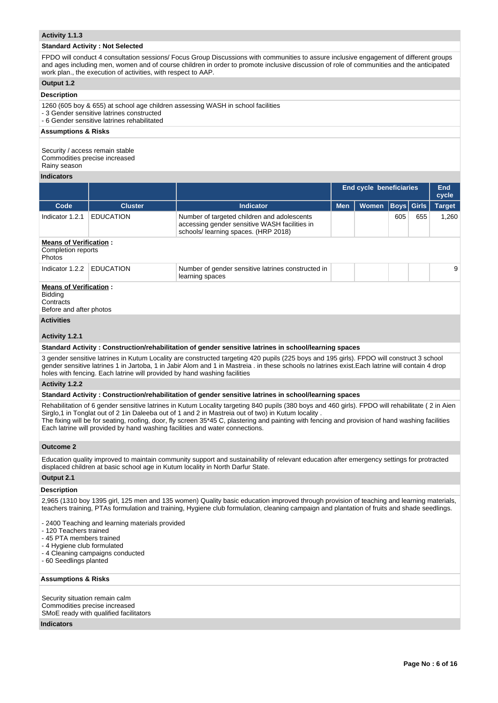### **Activity 1.1.3**

#### **Standard Activity : Not Selected**

FPDO will conduct 4 consultation sessions/ Focus Group Discussions with communities to assure inclusive engagement of different groups and ages including men, women and of course children in order to promote inclusive discussion of role of communities and the anticipated work plan., the execution of activities, with respect to AAP.

#### **Output 1.2**

### **Description**

1260 (605 boy & 655) at school age children assessing WASH in school facilities - 3 Gender sensitive latrines constructed

- 6 Gender sensitive latrines rehabilitated

**Assumptions & Risks**

Security / access remain stable Commodities precise increased Rainy season

#### **Indicators**

|                                                                                         |                  |                                                                                                                                      | <b>End cycle beneficiaries</b> |              |                   |     | <b>End</b><br>cycle |  |
|-----------------------------------------------------------------------------------------|------------------|--------------------------------------------------------------------------------------------------------------------------------------|--------------------------------|--------------|-------------------|-----|---------------------|--|
| Code                                                                                    | <b>Cluster</b>   | <b>Indicator</b>                                                                                                                     | <b>Men</b>                     | <b>Women</b> | <b>Boys</b> Girls |     | <b>Target</b>       |  |
| Indicator 1.2.1                                                                         | <b>EDUCATION</b> | Number of targeted children and adolescents<br>accessing gender sensitive WASH facilities in<br>schools/ learning spaces. (HRP 2018) |                                |              | 605               | 655 | 1,260               |  |
| <b>Means of Verification:</b><br>Completion reports<br><b>Photos</b>                    |                  |                                                                                                                                      |                                |              |                   |     |                     |  |
| Indicator 1.2.2                                                                         | <b>EDUCATION</b> | Number of gender sensitive latrines constructed in<br>learning spaces                                                                |                                |              |                   |     | 9                   |  |
| <b>Means of Verification:</b><br><b>Bidding</b><br>Contracts<br>Before and after photos |                  |                                                                                                                                      |                                |              |                   |     |                     |  |
| <b>Activities</b><br>.                                                                  |                  |                                                                                                                                      |                                |              |                   |     |                     |  |

#### **Activity 1.2.1**

#### **Standard Activity : Construction/rehabilitation of gender sensitive latrines in school/learning spaces**

3 gender sensitive latrines in Kutum Locality are constructed targeting 420 pupils (225 boys and 195 girls). FPDO will construct 3 school gender sensitive latrines 1 in Jartoba, 1 in Jabir Alom and 1 in Mastreia . in these schools no latrines exist.Each latrine will contain 4 drop holes with fencing. Each latrine will provided by hand washing facilities

### **Activity 1.2.2**

**Standard Activity : Construction/rehabilitation of gender sensitive latrines in school/learning spaces**

Rehabilitation of 6 gender sensitive latrines in Kutum Locality targeting 840 pupils (380 boys and 460 girls). FPDO will rehabilitate ( 2 in Aien Sirglo,1 in Tonglat out of 2 1in Daleeba out of 1 and 2 in Mastreia out of two) in Kutum locality . The fixing will be for seating, roofing, door, fly screen 35\*45 C, plastering and painting with fencing and provision of hand washing facilities Each latrine will provided by hand washing facilities and water connections.

#### **Outcome 2**

Education quality improved to maintain community support and sustainability of relevant education after emergency settings for protracted displaced children at basic school age in Kutum locality in North Darfur State.

#### **Output 2.1**

#### **Description**

2,965 (1310 boy 1395 girl, 125 men and 135 women) Quality basic education improved through provision of teaching and learning materials, teachers training, PTAs formulation and training, Hygiene club formulation, cleaning campaign and plantation of fruits and shade seedlings.

- 2400 Teaching and learning materials provided
- 120 Teachers trained
- 45 PTA members trained
- 4 Hygiene club formulated
- 4 Cleaning campaigns conducted
- 60 Seedlings planted

### **Assumptions & Risks**

Security situation remain calm Commodities precise increased SMoE ready with qualified facilitators

## **Indicators**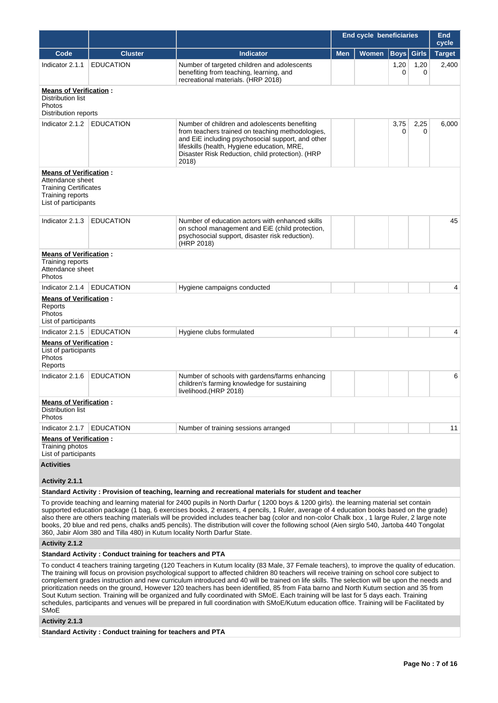|                                                                                                                               |                  |                                                                                                                                                                                                                                                                                                                                                                                                                                                                                                                                                                             | <b>End cycle beneficiaries</b> | <b>End</b><br>cycle |                      |              |               |
|-------------------------------------------------------------------------------------------------------------------------------|------------------|-----------------------------------------------------------------------------------------------------------------------------------------------------------------------------------------------------------------------------------------------------------------------------------------------------------------------------------------------------------------------------------------------------------------------------------------------------------------------------------------------------------------------------------------------------------------------------|--------------------------------|---------------------|----------------------|--------------|---------------|
| Code                                                                                                                          | <b>Cluster</b>   | <b>Indicator</b>                                                                                                                                                                                                                                                                                                                                                                                                                                                                                                                                                            | <b>Men</b>                     | <b>Women</b>        | $\vert$ Boys $\vert$ | <b>Girls</b> | <b>Target</b> |
| Indicator 2.1.1                                                                                                               | <b>EDUCATION</b> | Number of targeted children and adolescents<br>benefiting from teaching, learning, and<br>recreational materials. (HRP 2018)                                                                                                                                                                                                                                                                                                                                                                                                                                                |                                |                     | 1,20<br>0            | 1,20<br>0    | 2,400         |
| <b>Means of Verification:</b><br>Distribution list<br>Photos<br>Distribution reports                                          |                  |                                                                                                                                                                                                                                                                                                                                                                                                                                                                                                                                                                             |                                |                     |                      |              |               |
| Indicator 2.1.2                                                                                                               | <b>EDUCATION</b> | Number of children and adolescents benefiting<br>from teachers trained on teaching methodologies,<br>and EiE including psychosocial support, and other<br>lifeskills (health, Hygiene education, MRE,<br>Disaster Risk Reduction, child protection). (HRP<br>2018)                                                                                                                                                                                                                                                                                                          |                                |                     | 3,75<br>0            | 2,25<br>0    | 6,000         |
| <b>Means of Verification:</b><br>Attendance sheet<br><b>Training Certificates</b><br>Training reports<br>List of participants |                  |                                                                                                                                                                                                                                                                                                                                                                                                                                                                                                                                                                             |                                |                     |                      |              |               |
| Indicator 2.1.3                                                                                                               | <b>EDUCATION</b> | Number of education actors with enhanced skills<br>on school management and EiE (child protection,<br>psychosocial support, disaster risk reduction).<br>(HRP 2018)                                                                                                                                                                                                                                                                                                                                                                                                         |                                |                     |                      |              | 45            |
| <b>Means of Verification:</b><br>Training reports<br>Attendance sheet<br>Photos                                               |                  |                                                                                                                                                                                                                                                                                                                                                                                                                                                                                                                                                                             |                                |                     |                      |              |               |
| Indicator 2.1.4                                                                                                               | <b>EDUCATION</b> | Hygiene campaigns conducted                                                                                                                                                                                                                                                                                                                                                                                                                                                                                                                                                 |                                |                     |                      |              | 4             |
| <b>Means of Verification:</b><br>Reports<br>Photos<br>List of participants                                                    |                  |                                                                                                                                                                                                                                                                                                                                                                                                                                                                                                                                                                             |                                |                     |                      |              |               |
| Indicator 2.1.5                                                                                                               | <b>EDUCATION</b> | Hygiene clubs formulated                                                                                                                                                                                                                                                                                                                                                                                                                                                                                                                                                    |                                |                     |                      |              | 4             |
| <b>Means of Verification:</b><br>List of participants<br>Photos<br>Reports                                                    |                  |                                                                                                                                                                                                                                                                                                                                                                                                                                                                                                                                                                             |                                |                     |                      |              |               |
| Indicator 2.1.6                                                                                                               | <b>EDUCATION</b> | Number of schools with gardens/farms enhancing<br>children's farming knowledge for sustaining<br>livelihood.(HRP 2018)                                                                                                                                                                                                                                                                                                                                                                                                                                                      |                                |                     |                      |              | 6             |
| <b>Means of Verification:</b><br>Distribution list<br>Photos                                                                  |                  |                                                                                                                                                                                                                                                                                                                                                                                                                                                                                                                                                                             |                                |                     |                      |              |               |
| Indicator 2.1.7                                                                                                               | <b>EDUCATION</b> | Number of training sessions arranged                                                                                                                                                                                                                                                                                                                                                                                                                                                                                                                                        |                                |                     |                      |              | 11            |
| <b>Means of Verification:</b><br>Training photos<br>List of participants                                                      |                  |                                                                                                                                                                                                                                                                                                                                                                                                                                                                                                                                                                             |                                |                     |                      |              |               |
| <b>Activities</b>                                                                                                             |                  |                                                                                                                                                                                                                                                                                                                                                                                                                                                                                                                                                                             |                                |                     |                      |              |               |
| Activity 2.1.1                                                                                                                |                  |                                                                                                                                                                                                                                                                                                                                                                                                                                                                                                                                                                             |                                |                     |                      |              |               |
|                                                                                                                               |                  | Standard Activity: Provision of teaching, learning and recreational materials for student and teacher                                                                                                                                                                                                                                                                                                                                                                                                                                                                       |                                |                     |                      |              |               |
|                                                                                                                               |                  | To provide teaching and learning material for 2400 pupils in North Darfur (1200 boys & 1200 girls), the learning material set contain<br>supported education package (1 bag, 6 exercises books, 2 erasers, 4 pencils, 1 Ruler, average of 4 education books based on the grade)<br>also there are others teaching materials will be provided includes teacher bag (color and non-color Chalk box, 1 large Ruler, 2 large note<br>books, 20 blue and red pens, chalks and5 pencils). The distribution will cover the following school (Aien sirglo 540, Jartoba 440 Tongolat |                                |                     |                      |              |               |

**Activity 2.1.2** 

## **Standard Activity : Conduct training for teachers and PTA**

360, Jabir Alom 380 and Tilla 480) in Kutum locality North Darfur State.

To conduct 4 teachers training targeting (120 Teachers in Kutum locality (83 Male, 37 Female teachers), to improve the quality of education. The training will focus on provision psychological support to affected children 80 teachers will receive training on school core subject to complement grades instruction and new curriculum introduced and 40 will be trained on life skills. The selection will be upon the needs and prioritization needs on the ground, However 120 teachers has been identified, 85 from Fata barno and North Kutum section and 35 from Sout Kutum section. Training will be organized and fully coordinated with SMoE. Each training will be last for 5 days each. Training schedules, participants and venues will be prepared in full coordination with SMoE/Kutum education office. Training will be Facilitated by SMoE

### **Activity 2.1.3**

**Standard Activity : Conduct training for teachers and PTA**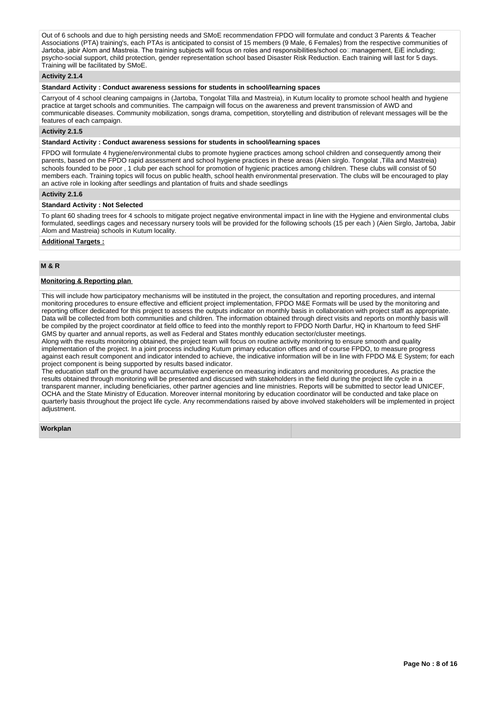Out of 6 schools and due to high persisting needs and SMoE recommendation FPDO will formulate and conduct 3 Parents & Teacher Associations (PTA) training's, each PTAs is anticipated to consist of 15 members (9 Male, 6 Females) from the respective communities of Jartoba, jabir Alom and Mastreia. The training subjects will focus on roles and responsibilities/school co $\Box$ management, EiE including; psycho-social support, child protection, gender representation school based Disaster Risk Reduction. Each training will last for 5 days. Training will be facilitated by SMoE.

## **Activity 2.1.4**

## **Standard Activity : Conduct awareness sessions for students in school/learning spaces**

Carryout of 4 school cleaning campaigns in (Jartoba, Tongolat Tilla and Mastreia), in Kutum locality to promote school health and hygiene practice at target schools and communities. The campaign will focus on the awareness and prevent transmission of AWD and communicable diseases. Community mobilization, songs drama, competition, storytelling and distribution of relevant messages will be the features of each campaign.

## **Activity 2.1.5**

**Standard Activity : Conduct awareness sessions for students in school/learning spaces**

FPDO will formulate 4 hygiene/environmental clubs to promote hygiene practices among school children and consequently among their parents, based on the FPDO rapid assessment and school hygiene practices in these areas (Aien sirglo. Tongolat ,Tilla and Mastreia) schools founded to be poor , 1 club per each school for promotion of hygienic practices among children. These clubs will consist of 50 members each. Training topics will focus on public health, school health environmental preservation. The clubs will be encouraged to play an active role in looking after seedlings and plantation of fruits and shade seedlings

#### **Activity 2.1.6**

### **Standard Activity : Not Selected**

To plant 60 shading trees for 4 schools to mitigate project negative environmental impact in line with the Hygiene and environmental clubs formulated, seedlings cages and necessary nursery tools will be provided for the following schools (15 per each ) (Aien Sirglo, Jartoba, Jabir Alom and Mastreia) schools in Kutum locality.

### **Additional Targets :**

### **M & R**

#### **Monitoring & Reporting plan**

This will include how participatory mechanisms will be instituted in the project, the consultation and reporting procedures, and internal monitoring procedures to ensure effective and efficient project implementation, FPDO M&E Formats will be used by the monitoring and reporting officer dedicated for this project to assess the outputs indicator on monthly basis in collaboration with project staff as appropriate. Data will be collected from both communities and children. The information obtained through direct visits and reports on monthly basis will be compiled by the project coordinator at field office to feed into the monthly report to FPDO North Darfur, HQ in Khartoum to feed SHF GMS by quarter and annual reports, as well as Federal and States monthly education sector/cluster meetings.

Along with the results monitoring obtained, the project team will focus on routine activity monitoring to ensure smooth and quality implementation of the project. In a joint process including Kutum primary education offices and of course FPDO, to measure progress against each result component and indicator intended to achieve, the indicative information will be in line with FPDO M& E System; for each project component is being supported by results based indicator.

The education staff on the ground have accumulative experience on measuring indicators and monitoring procedures, As practice the results obtained through monitoring will be presented and discussed with stakeholders in the field during the project life cycle in a transparent manner, including beneficiaries, other partner agencies and line ministries. Reports will be submitted to sector lead UNICEF, OCHA and the State Ministry of Education. Moreover internal monitoring by education coordinator will be conducted and take place on quarterly basis throughout the project life cycle. Any recommendations raised by above involved stakeholders will be implemented in project adiustment.

#### **Workplan**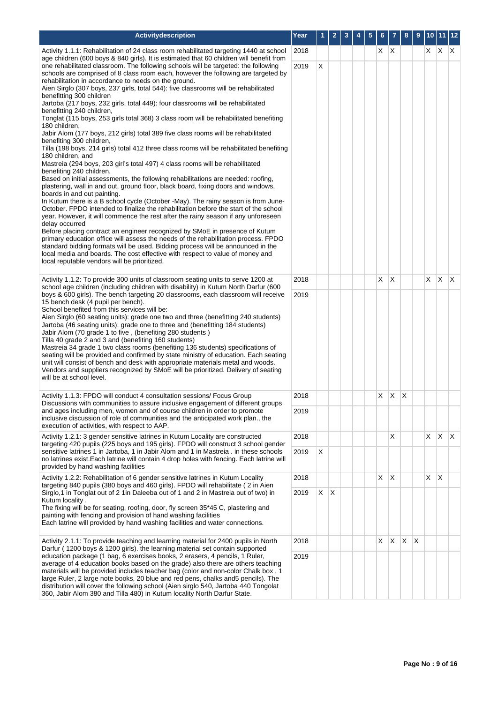| Activitydescription                                                                                                                                                                                                                                                                                                                                                                                                                                                                                                                                                                                                                                                                                                                                                                                                                                                                                                                                                                                                                                                                                                                                                                                                                                                                                                                                                                                                                                                                                                                                                                                                                                                                                                                                                                                                                                                                                         | Year |   |              |  |     |   | 8            | 9            | 10 <sup>1</sup> | 11 12        |     |
|-------------------------------------------------------------------------------------------------------------------------------------------------------------------------------------------------------------------------------------------------------------------------------------------------------------------------------------------------------------------------------------------------------------------------------------------------------------------------------------------------------------------------------------------------------------------------------------------------------------------------------------------------------------------------------------------------------------------------------------------------------------------------------------------------------------------------------------------------------------------------------------------------------------------------------------------------------------------------------------------------------------------------------------------------------------------------------------------------------------------------------------------------------------------------------------------------------------------------------------------------------------------------------------------------------------------------------------------------------------------------------------------------------------------------------------------------------------------------------------------------------------------------------------------------------------------------------------------------------------------------------------------------------------------------------------------------------------------------------------------------------------------------------------------------------------------------------------------------------------------------------------------------------------|------|---|--------------|--|-----|---|--------------|--------------|-----------------|--------------|-----|
| Activity 1.1.1: Rehabilitation of 24 class room rehabilitated targeting 1440 at school                                                                                                                                                                                                                                                                                                                                                                                                                                                                                                                                                                                                                                                                                                                                                                                                                                                                                                                                                                                                                                                                                                                                                                                                                                                                                                                                                                                                                                                                                                                                                                                                                                                                                                                                                                                                                      | 2018 |   |              |  | X X |   |              |              | X.              | X.           | IX. |
| age children (600 boys & 840 girls). It is estimated that 60 children will benefit from<br>one rehabilitated classroom. The following schools will be targeted: the following<br>schools are comprised of 8 class room each, however the following are targeted by<br>rehabilitation in accordance to needs on the ground.<br>Aien Sirglo (307 boys, 237 girls, total 544): five classrooms will be rehabilitated<br>benefitting 300 children<br>Jartoba (217 boys, 232 girls, total 449): four classrooms will be rehabilitated<br>benefitting 240 children,<br>Tonglat (115 boys, 253 girls total 368) 3 class room will be rehabilitated benefiting<br>180 children,<br>Jabir Alom (177 boys, 212 girls) total 389 five class rooms will be rehabilitated<br>benefiting 300 children,<br>Tilla (198 boys, 214 girls) total 412 three class rooms will be rehabilitated benefiting<br>180 children, and<br>Mastreia (294 boys, 203 girl's total 497) 4 class rooms will be rehabilitated<br>benefiting 240 children.<br>Based on initial assessments, the following rehabilitations are needed: roofing,<br>plastering, wall in and out, ground floor, black board, fixing doors and windows,<br>boards in and out painting.<br>In Kutum there is a B school cycle (October -May). The rainy season is from June-<br>October. FPDO intended to finalize the rehabilitation before the start of the school<br>year. However, it will commence the rest after the rainy season if any unforeseen<br>delay occurred<br>Before placing contract an engineer recognized by SMoE in presence of Kutum<br>primary education office will assess the needs of the rehabilitation process. FPDO<br>standard bidding formats will be used. Bidding process will be announced in the<br>local media and boards. The cost effective with respect to value of money and<br>local reputable vendors will be prioritized. | 2019 | X |              |  |     |   |              |              |                 |              |     |
| Activity 1.1.2: To provide 300 units of classroom seating units to serve 1200 at<br>school age children (including children with disability) in Kutum North Darfur (600                                                                                                                                                                                                                                                                                                                                                                                                                                                                                                                                                                                                                                                                                                                                                                                                                                                                                                                                                                                                                                                                                                                                                                                                                                                                                                                                                                                                                                                                                                                                                                                                                                                                                                                                     | 2018 |   |              |  | X.  | X |              |              | X               | <b>X</b>     | ΙX. |
| boys & 600 girls). The bench targeting 20 classrooms, each classroom will receive<br>15 bench desk (4 pupil per bench).<br>School benefited from this services will be:<br>Aien Sirglo (60 seating units): grade one two and three (benefitting 240 students)<br>Jartoba (46 seating units): grade one to three and (benefitting 184 students)<br>Jabir Alom (70 grade 1 to five, (benefiting 280 students)<br>Tilla 40 grade 2 and 3 and (benefiting 160 students)<br>Mastreia 34 grade 1 two class rooms (benefiting 136 students) specifications of<br>seating will be provided and confirmed by state ministry of education. Each seating<br>unit will consist of bench and desk with appropriate materials metal and woods.<br>Vendors and suppliers recognized by SMoE will be prioritized. Delivery of seating<br>will be at school level.                                                                                                                                                                                                                                                                                                                                                                                                                                                                                                                                                                                                                                                                                                                                                                                                                                                                                                                                                                                                                                                           | 2019 |   |              |  |     |   |              |              |                 |              |     |
| Activity 1.1.3: FPDO will conduct 4 consultation sessions/ Focus Group<br>Discussions with communities to assure inclusive engagement of different groups                                                                                                                                                                                                                                                                                                                                                                                                                                                                                                                                                                                                                                                                                                                                                                                                                                                                                                                                                                                                                                                                                                                                                                                                                                                                                                                                                                                                                                                                                                                                                                                                                                                                                                                                                   | 2018 |   |              |  | X.  | X | X            |              |                 |              |     |
| and ages including men, women and of course children in order to promote<br>inclusive discussion of role of communities and the anticipated work plan., the<br>execution of activities, with respect to AAP.                                                                                                                                                                                                                                                                                                                                                                                                                                                                                                                                                                                                                                                                                                                                                                                                                                                                                                                                                                                                                                                                                                                                                                                                                                                                                                                                                                                                                                                                                                                                                                                                                                                                                                | 2019 |   |              |  |     |   |              |              |                 |              |     |
| Activity 1.2.1: 3 gender sensitive latrines in Kutum Locality are constructed<br>targeting 420 pupils (225 boys and 195 girls). FPDO will construct 3 school gender                                                                                                                                                                                                                                                                                                                                                                                                                                                                                                                                                                                                                                                                                                                                                                                                                                                                                                                                                                                                                                                                                                                                                                                                                                                                                                                                                                                                                                                                                                                                                                                                                                                                                                                                         | 2018 |   |              |  |     | X |              |              | X.              | X.           | ΙX. |
| sensitive latrines 1 in Jartoba, 1 in Jabir Alom and 1 in Mastreia . in these schools<br>no latrines exist. Each latrine will contain 4 drop holes with fencing. Each latrine will<br>provided by hand washing facilities                                                                                                                                                                                                                                                                                                                                                                                                                                                                                                                                                                                                                                                                                                                                                                                                                                                                                                                                                                                                                                                                                                                                                                                                                                                                                                                                                                                                                                                                                                                                                                                                                                                                                   | 2019 | X |              |  |     |   |              |              |                 |              |     |
| Activity 1.2.2: Rehabilitation of 6 gender sensitive latrines in Kutum Locality<br>targeting 840 pupils (380 boys and 460 girls). FPDO will rehabilitate (2 in Aien                                                                                                                                                                                                                                                                                                                                                                                                                                                                                                                                                                                                                                                                                                                                                                                                                                                                                                                                                                                                                                                                                                                                                                                                                                                                                                                                                                                                                                                                                                                                                                                                                                                                                                                                         | 2018 |   |              |  | X.  | X |              |              | X.              | $\mathsf{X}$ |     |
| Sirglo,1 in Tonglat out of 2 1in Daleeba out of 1 and 2 in Mastreia out of two) in                                                                                                                                                                                                                                                                                                                                                                                                                                                                                                                                                                                                                                                                                                                                                                                                                                                                                                                                                                                                                                                                                                                                                                                                                                                                                                                                                                                                                                                                                                                                                                                                                                                                                                                                                                                                                          | 2019 | X | $\mathsf{X}$ |  |     |   |              |              |                 |              |     |
| Kutum locality.<br>The fixing will be for seating, roofing, door, fly screen 35*45 C, plastering and<br>painting with fencing and provision of hand washing facilities<br>Each latrine will provided by hand washing facilities and water connections.                                                                                                                                                                                                                                                                                                                                                                                                                                                                                                                                                                                                                                                                                                                                                                                                                                                                                                                                                                                                                                                                                                                                                                                                                                                                                                                                                                                                                                                                                                                                                                                                                                                      |      |   |              |  |     |   |              |              |                 |              |     |
| Activity 2.1.1: To provide teaching and learning material for 2400 pupils in North<br>Darfur (1200 boys & 1200 girls). the learning material set contain supported                                                                                                                                                                                                                                                                                                                                                                                                                                                                                                                                                                                                                                                                                                                                                                                                                                                                                                                                                                                                                                                                                                                                                                                                                                                                                                                                                                                                                                                                                                                                                                                                                                                                                                                                          | 2018 |   |              |  | X.  | X | $\mathsf{X}$ | $\mathsf{X}$ |                 |              |     |
| education package (1 bag, 6 exercises books, 2 erasers, 4 pencils, 1 Ruler,<br>average of 4 education books based on the grade) also there are others teaching<br>materials will be provided includes teacher bag (color and non-color Chalk box, 1<br>large Ruler, 2 large note books, 20 blue and red pens, chalks and5 pencils). The<br>distribution will cover the following school (Aien sirglo 540, Jartoba 440 Tongolat<br>360, Jabir Alom 380 and Tilla 480) in Kutum locality North Darfur State.                                                                                                                                                                                                                                                                                                                                                                                                                                                                                                                                                                                                                                                                                                                                                                                                                                                                                                                                                                                                                                                                                                                                                                                                                                                                                                                                                                                                  | 2019 |   |              |  |     |   |              |              |                 |              |     |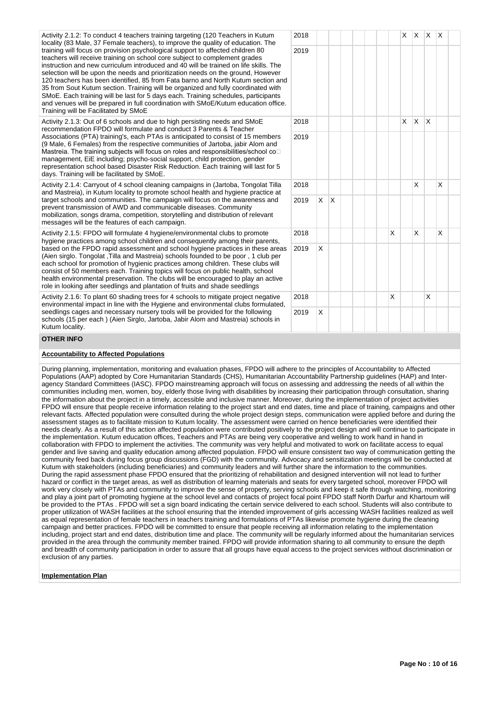Activity 2.1.2: To conduct 4 teachers training targeting (120 Teachers in Kutum locality (83 Male, 37 Female teachers), to improve the quality of education. The training will focus on provision psychological support to affected children 80 teachers will receive training on school core subject to complement grades instruction and new curriculum introduced and 40 will be trained on life skills. The selection will be upon the needs and prioritization needs on the ground, However 120 teachers has been identified, 85 from Fata barno and North Kutum section and 35 from Sout Kutum section. Training will be organized and fully coordinated with SMoE. Each training will be last for 5 days each. Training schedules, participants and venues will be prepared in full coordination with SMoE/Kutum education office. Training will be Facilitated by SMoE

Activity 2.1.3: Out of 6 schools and due to high persisting needs and SMoE recommendation FPDO will formulate and conduct 3 Parents & Teacher Associations (PTA) training's, each PTAs is anticipated to consist of 15 members (9 Male, 6 Females) from the respective communities of Jartoba, jabir Alom and Mastreia. The training subjects will focus on roles and responsibilities/school co management, EiE including; psycho-social support, child protection, gender representation school based Disaster Risk Reduction. Each training will last for 5 days. Training will be facilitated by SMoE.

Activity 2.1.4: Carryout of 4 school cleaning campaigns in (Jartoba, Tongolat Tilla and Mastreia), in Kutum locality to promote school health and hygiene practice at target schools and communities. The campaign will focus on the awareness and prevent transmission of AWD and communicable diseases. Community mobilization, songs drama, competition, storytelling and distribution of relevant messages will be the features of each campaign.

Activity 2.1.5: FPDO will formulate 4 hygiene/environmental clubs to promote hygiene practices among school children and consequently among their parents, based on the FPDO rapid assessment and school hygiene practices in these areas (Aien sirglo. Tongolat ,Tilla and Mastreia) schools founded to be poor , 1 club per each school for promotion of hygienic practices among children. These clubs will consist of 50 members each. Training topics will focus on public health, school health environmental preservation. The clubs will be encouraged to play an active role in looking after seedlings and plantation of fruits and shade seedlings

Activity 2.1.6: To plant 60 shading trees for 4 schools to mitigate project negative environmental impact in line with the Hygiene and environmental clubs formulated, seedlings cages and necessary nursery tools will be provided for the following schools (15 per each ) (Aien Sirglo, Jartoba, Jabir Alom and Mastreia) schools in Kutum locality.

## **OTHER INFO**

### **Accountability to Affected Populations**

During planning, implementation, monitoring and evaluation phases, FPDO will adhere to the principles of Accountability to Affected Populations (AAP) adopted by Core Humanitarian Standards (CHS), Humanitarian Accountability Partnership guidelines (HAP) and Interagency Standard Committees (IASC). FPDO mainstreaming approach will focus on assessing and addressing the needs of all within the communities including men, women, boy, elderly those living with disabilities by increasing their participation through consultation, sharing the information about the project in a timely, accessible and inclusive manner. Moreover, during the implementation of project activities FPDO will ensure that people receive information relating to the project start and end dates, time and place of training, campaigns and other relevant facts. Affected population were consulted during the whole project design steps, communication were applied before and during the assessment stages as to facilitate mission to Kutum locality. The assessment were carried on hence beneficiaries were identified their needs clearly. As a result of this action affected population were contributed positively to the project design and will continue to participate in the implementation. Kutum education offices, Teachers and PTAs are being very cooperative and welling to work hand in hand in collaboration with FPDO to implement the activities. The community was very helpful and motivated to work on facilitate access to equal gender and live saving and quality education among affected population. FPDO will ensure consistent two way of communication getting the community feed back during focus group discussions (FGD) with the community. Advocacy and sensitization meetings will be conducted at Kutum with stakeholders (including beneficiaries) and community leaders and will further share the information to the communities. During the rapid assessment phase FPDO ensured that the prioritizing of rehabilitation and designed intervention will not lead to further hazard or conflict in the target areas, as well as distribution of learning materials and seats for every targeted school, moreover FPDO will work very closely with PTAs and community to improve the sense of property, serving schools and keep it safe through watching, monitoring and play a joint part of promoting hygiene at the school level and contacts of project focal point FPDO staff North Darfur and Khartoum will be provided to the PTAs . FPDO will set a sign board indicating the certain service delivered to each school. Students will also contribute to proper utilization of WASH facilities at the school ensuring that the intended improvement of girls accessing WASH facilities realized as well as equal representation of female teachers in teachers training and formulations of PTAs likewise promote hygiene during the cleaning campaign and better practices. FPDO will be committed to ensure that people receiving all information relating to the implementation including, project start and end dates, distribution time and place. The community will be regularly informed about the humanitarian services provided in the area through the community member trained. FPDO will provide information sharing to all community to ensure the depth and breadth of community participation in order to assure that all groups have equal access to the project services without discrimination or exclusion of any parties

### **Implementation Plan**

|                      | 2018 |             |              |  |  |   | $\mathsf{X}$ | $\mathsf{X}^-$          | X            | $\mathsf X$             |  |
|----------------------|------|-------------|--------------|--|--|---|--------------|-------------------------|--------------|-------------------------|--|
| Ł                    | 2019 |             |              |  |  |   |              |                         |              |                         |  |
| $\ddot{\phantom{0}}$ |      |             |              |  |  |   |              |                         |              |                         |  |
|                      | 2018 |             |              |  |  |   | X            | $\overline{\mathsf{X}}$ | $\mathsf{x}$ |                         |  |
|                      | 2019 |             |              |  |  |   |              |                         |              |                         |  |
|                      | 2018 |             |              |  |  |   |              | $\sf X$                 |              | X                       |  |
|                      | 2019 | $\mathsf X$ | $\mathsf{x}$ |  |  |   |              |                         |              |                         |  |
|                      | 2018 |             |              |  |  | X |              | $\sf X$                 |              | $\overline{\mathsf{x}}$ |  |
| 3                    | 2019 | $\mathsf X$ |              |  |  |   |              |                         |              |                         |  |
|                      | 2018 |             |              |  |  | X |              |                         | X            |                         |  |
|                      | 2019 | $\mathsf X$ |              |  |  |   |              |                         |              |                         |  |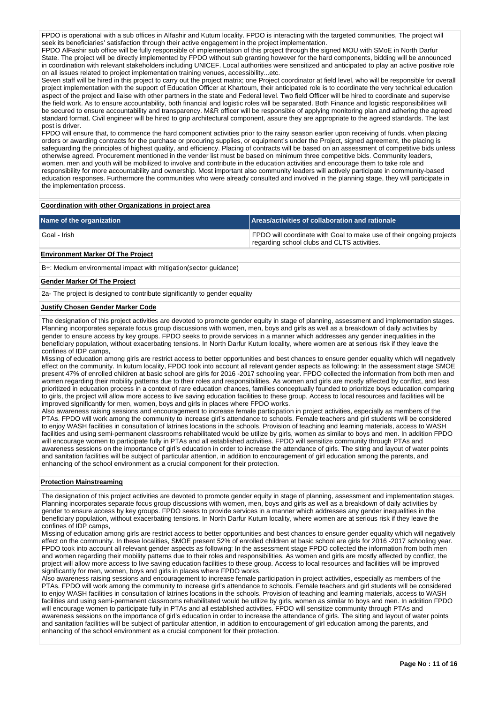FPDO is operational with a sub offices in Alfashir and Kutum locality. FPDO is interacting with the targeted communities, The project will seek its beneficiaries' satisfaction through their active engagement in the project implementation.

FPDO AlFashir sub office will be fully responsible of implementation of this project through the signed MOU with SMoE in North Darfur State. The project will be directly implemented by FPDO without sub granting however for the hard components, bidding will be announced in coordination with relevant stakeholders including UNICEF. Local authorities were sensitized and anticipated to play an active positive role on all issues related to project implementation training venues, accessibility...etc.

Seven staff will be hired in this project to carry out the project matrix; one Project coordinator at field level, who will be responsible for overall project implementation with the support of Education Officer at Khartoum, their anticipated role is to coordinate the very technical education aspect of the project and liaise with other partners in the state and Federal level. Two field Officer will be hired to coordinate and supervise the field work. As to ensure accountability, both financial and logistic roles will be separated. Both Finance and logistic responsibilities will be secured to ensure accountability and transparency. M&R officer will be responsible of applying monitoring plan and adhering the agreed standard format. Civil engineer will be hired to grip architectural component, assure they are appropriate to the agreed standards. The last post is driver.

FPDO will ensure that, to commence the hard component activities prior to the rainy season earlier upon receiving of funds. when placing orders or awarding contracts for the purchase or procuring supplies, or equipment's under the Project, signed agreement, the placing is safeguarding the principles of highest quality, and efficiency. Placing of contracts will be based on an assessment of competitive bids unless otherwise agreed. Procurement mentioned in the vender list must be based on minimum three competitive bids. Community leaders, women, men and youth will be mobilized to involve and contribute in the education activities and encourage them to take role and responsibility for more accountability and ownership. Most important also community leaders will actively participate in community-based education responses. Furthermore the communities who were already consulted and involved in the planning stage, they will participate in the implementation process.

### **Coordination with other Organizations in project area**

| Name of the organization | Areas/activities of collaboration and rationale                                                                     |
|--------------------------|---------------------------------------------------------------------------------------------------------------------|
| Goal - Irish             | FPDO will coordinate with Goal to make use of their ongoing projects<br>regarding school clubs and CLTS activities. |

## **Environment Marker Of The Project**

B+: Medium environmental impact with mitigation(sector guidance)

#### **Gender Marker Of The Project**

2a- The project is designed to contribute significantly to gender equality

#### **Justify Chosen Gender Marker Code**

The designation of this project activities are devoted to promote gender equity in stage of planning, assessment and implementation stages. Planning incorporates separate focus group discussions with women, men, boys and girls as well as a breakdown of daily activities by gender to ensure access by key groups. FPDO seeks to provide services in a manner which addresses any gender inequalities in the beneficiary population, without exacerbating tensions. In North Darfur Kutum locality, where women are at serious risk if they leave the confines of IDP camps,

Missing of education among girls are restrict access to better opportunities and best chances to ensure gender equality which will negatively effect on the community. In kutum locality, FPDO took into account all relevant gender aspects as following: In the assessment stage SMOE present 47% of enrolled children at basic school are girls for 2016 -2017 schooling year. FPDO collected the information from both men and women regarding their mobility patterns due to their roles and responsibilities. As women and girls are mostly affected by conflict, and less prioritized in education process in a context of rare education chances, families conceptually founded to prioritize boys education comparing to girls, the project will allow more access to live saving education facilities to these group. Access to local resources and facilities will be improved significantly for men, women, boys and girls in places where FPDO works.

Also awareness raising sessions and encouragement to increase female participation in project activities, especially as members of the PTAs. FPDO will work among the community to increase girl's attendance to schools. Female teachers and girl students will be considered to enjoy WASH facilities in consultation of latrines locations in the schools. Provision of teaching and learning materials, access to WASH facilities and using semi-permanent classrooms rehabilitated would be utilize by girls, women as similar to boys and men. In addition FPDO will encourage women to participate fully in PTAs and all established activities. FPDO will sensitize community through PTAs and awareness sessions on the importance of girl's education in order to increase the attendance of girls. The siting and layout of water points and sanitation facilities will be subject of particular attention, in addition to encouragement of girl education among the parents, and enhancing of the school environment as a crucial component for their protection.

### **Protection Mainstreaming**

The designation of this project activities are devoted to promote gender equity in stage of planning, assessment and implementation stages. Planning incorporates separate focus group discussions with women, men, boys and girls as well as a breakdown of daily activities by gender to ensure access by key groups. FPDO seeks to provide services in a manner which addresses any gender inequalities in the beneficiary population, without exacerbating tensions. In North Darfur Kutum locality, where women are at serious risk if they leave the confines of IDP camps,

Missing of education among girls are restrict access to better opportunities and best chances to ensure gender equality which will negatively effect on the community. In these localities, SMOE present 52% of enrolled children at basic school are girls for 2016 -2017 schooling year. FPDO took into account all relevant gender aspects as following: In the assessment stage FPDO collected the information from both men and women regarding their mobility patterns due to their roles and responsibilities. As women and girls are mostly affected by conflict, the project will allow more access to live saving education facilities to these group. Access to local resources and facilities will be improved significantly for men, women, boys and girls in places where FPDO works.

Also awareness raising sessions and encouragement to increase female participation in project activities, especially as members of the PTAs. FPDO will work among the community to increase girl's attendance to schools. Female teachers and girl students will be considered to enjoy WASH facilities in consultation of latrines locations in the schools. Provision of teaching and learning materials, access to WASH facilities and using semi-permanent classrooms rehabilitated would be utilize by girls, women as similar to boys and men. In addition FPDO will encourage women to participate fully in PTAs and all established activities. FPDO will sensitize community through PTAs and awareness sessions on the importance of girl's education in order to increase the attendance of girls. The siting and layout of water points and sanitation facilities will be subject of particular attention, in addition to encouragement of girl education among the parents, and enhancing of the school environment as a crucial component for their protection.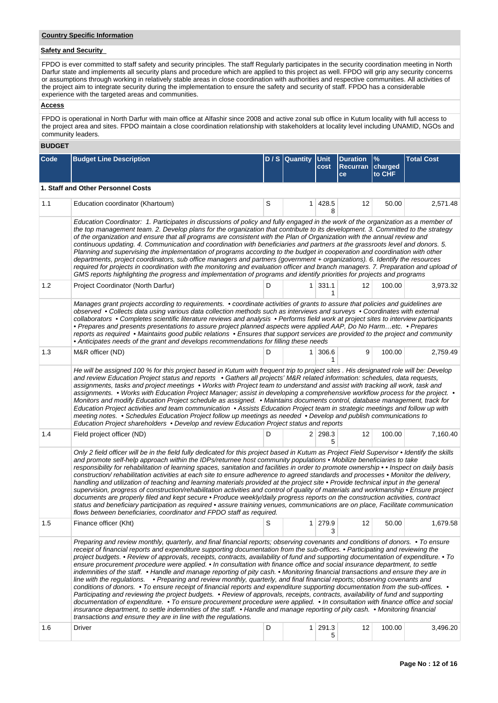## **Country Specific Information**

# **Safety and Security**

FPDO is ever committed to staff safety and security principles. The staff Regularly participates in the security coordination meeting in North Darfur state and implements all security plans and procedure which are applied to this project as well. FPDO will grip any security concerns or assumptions through working in relatively stable areas in close coordination with authorities and respective communities. All activities of the project aim to integrate security during the implementation to ensure the safety and security of staff. FPDO has a considerable experience with the targeted areas and communities.

## **Access**

FPDO is operational in North Darfur with main office at Alfashir since 2008 and active zonal sub office in Kutum locality with full access to the project area and sites. FPDO maintain a close coordination relationship with stakeholders at locality level including UNAMID, NGOs and community leaders.

## **BUDGET**

| Code | <b>Budget Line Description</b>                                                                                                                                                                                                                                                                                                                                                                                                                                                                                                                                                                                                                                                                                                                                                                                                                                                                                                                                                                                                                                                                                                                                                                                                                                                                                                                                                                                      |   | D / S Quantity | <b>Unit</b><br>cost | <b>Duration</b><br>Recurran charged<br><b>ce</b> | %<br>to CHF | <b>Total Cost</b> |  |  |  |  |  |
|------|---------------------------------------------------------------------------------------------------------------------------------------------------------------------------------------------------------------------------------------------------------------------------------------------------------------------------------------------------------------------------------------------------------------------------------------------------------------------------------------------------------------------------------------------------------------------------------------------------------------------------------------------------------------------------------------------------------------------------------------------------------------------------------------------------------------------------------------------------------------------------------------------------------------------------------------------------------------------------------------------------------------------------------------------------------------------------------------------------------------------------------------------------------------------------------------------------------------------------------------------------------------------------------------------------------------------------------------------------------------------------------------------------------------------|---|----------------|---------------------|--------------------------------------------------|-------------|-------------------|--|--|--|--|--|
|      | 1. Staff and Other Personnel Costs                                                                                                                                                                                                                                                                                                                                                                                                                                                                                                                                                                                                                                                                                                                                                                                                                                                                                                                                                                                                                                                                                                                                                                                                                                                                                                                                                                                  |   |                |                     |                                                  |             |                   |  |  |  |  |  |
| 1.1  | Education coordinator (Khartoum)                                                                                                                                                                                                                                                                                                                                                                                                                                                                                                                                                                                                                                                                                                                                                                                                                                                                                                                                                                                                                                                                                                                                                                                                                                                                                                                                                                                    | S | 1              | 428.5<br>8          | 12                                               | 50.00       | 2,571.48          |  |  |  |  |  |
|      | Education Coordinator: 1. Participates in discussions of policy and fully engaged in the work of the organization as a member of<br>the top management team. 2. Develop plans for the organization that contribute to its development. 3. Committed to the strategy<br>of the organization and ensure that all programs are consistent with the Plan of Organization with the annual review and<br>continuous updating. 4. Communication and coordination with beneficiaries and partners at the grassroots level and donors. 5.<br>Planning and supervising the implementation of programs according to the budget in cooperation and coordination with other<br>departments, project coordinators, sub office managers and partners (government + organizations). 6. Identify the resources<br>required for projects in coordination with the monitoring and evaluation officer and branch managers. 7. Preparation and upload of<br>GMS reports highlighting the progress and implementation of programs and identify priorities for projects and programs                                                                                                                                                                                                                                                                                                                                                       |   |                |                     |                                                  |             |                   |  |  |  |  |  |
| 1.2  | Project Coordinator (North Darfur)                                                                                                                                                                                                                                                                                                                                                                                                                                                                                                                                                                                                                                                                                                                                                                                                                                                                                                                                                                                                                                                                                                                                                                                                                                                                                                                                                                                  | D |                | $1 \mid 331.1$<br>1 | 12                                               | 100.00      | 3,973.32          |  |  |  |  |  |
|      | Manages grant projects according to requirements. • coordinate activities of grants to assure that policies and guidelines are<br>observed • Collects data using various data collection methods such as interviews and surveys • Coordinates with external<br>collaborators • Completes scientific literature reviews and analysis • Performs field work at project sites to interview participants<br>• Prepares and presents presentations to assure project planned aspects were applied AAP, Do No Harmetc. • Prepares<br>reports as required • Maintains good public relations • Ensures that support services are provided to the project and community<br>• Anticipates needs of the grant and develops recommendations for filling these needs                                                                                                                                                                                                                                                                                                                                                                                                                                                                                                                                                                                                                                                             |   |                |                     |                                                  |             |                   |  |  |  |  |  |
| 1.3  | M&R officer (ND)                                                                                                                                                                                                                                                                                                                                                                                                                                                                                                                                                                                                                                                                                                                                                                                                                                                                                                                                                                                                                                                                                                                                                                                                                                                                                                                                                                                                    | D |                | 1 306.6<br>1        | 9                                                | 100.00      | 2,759.49          |  |  |  |  |  |
|      | He will be assigned 100 % for this project based in Kutum with frequent trip to project sites . His designated role will be: Develop<br>and review Education Project status and reports . Gathers all projects' M&R related information: schedules, data requests,<br>assignments, tasks and project meetings • Works with Project team to understand and assist with tracking all work, task and<br>assignments. • Works with Education Project Manager; assist in developing a comprehensive workflow process for the project. •<br>Monitors and modify Education Project schedule as assigned. • Maintains documents control, database management, track for<br>Education Project activities and team communication • Assists Education Project team in strategic meetings and follow up with<br>meeting notes. • Schedules Education Project follow up meetings as needed • Develop and publish communications to<br>Education Project shareholders • Develop and review Education Project status and reports                                                                                                                                                                                                                                                                                                                                                                                                   |   |                |                     |                                                  |             |                   |  |  |  |  |  |
| 1.4  | Field project officer (ND)                                                                                                                                                                                                                                                                                                                                                                                                                                                                                                                                                                                                                                                                                                                                                                                                                                                                                                                                                                                                                                                                                                                                                                                                                                                                                                                                                                                          | D |                | 2 298.3<br>5        | 12                                               | 100.00      | 7,160.40          |  |  |  |  |  |
|      | Only 2 field officer will be in the field fully dedicated for this project based in Kutum as Project Field Supervisor . Identify the skills<br>and promote self-help approach within the IDPs/returnee host community populations • Mobilize beneficiaries to take<br>responsibility for rehabilitation of learning spaces, sanitation and facilities in order to promote ownership • Inspect on daily basis<br>construction/rehabilitation activities at each site to ensure adherence to agreed standards and processes • Monitor the delivery,<br>handling and utilization of teaching and learning materials provided at the project site . Provide technical input in the general<br>supervision, progress of construction/rehabilitation activities and control of quality of materials and workmanship • Ensure project<br>documents are properly filed and kept secure . Produce weekly/daily progress reports on the construction activities, contract<br>status and beneficiary participation as required · assure training venues, communications are on place, Facilitate communication<br>flows between beneficiaries, coordinator and FPDO staff as required.                                                                                                                                                                                                                                         |   |                |                     |                                                  |             |                   |  |  |  |  |  |
| 1.5  | Finance officer (Kht)                                                                                                                                                                                                                                                                                                                                                                                                                                                                                                                                                                                                                                                                                                                                                                                                                                                                                                                                                                                                                                                                                                                                                                                                                                                                                                                                                                                               | S |                | 1 279.9<br>3        | 12                                               | 50.00       | 1,679.58          |  |  |  |  |  |
|      | Preparing and review monthly, quarterly, and final financial reports; observing covenants and conditions of donors. • To ensure<br>receipt of financial reports and expenditure supporting documentation from the sub-offices. • Participating and reviewing the<br>project budgets. • Review of approvals, receipts, contracts, availability of fund and supporting documentation of expenditure. • To<br>ensure procurement procedure were applied. • In consultation with finance office and social insurance department, to settle<br>indemnities of the staff. • Handle and manage reporting of pity cash. • Monitoring financial transactions and ensure they are in<br>line with the regulations. • Preparing and review monthly, quarterly, and final financial reports; observing covenants and<br>conditions of donors. • To ensure receipt of financial reports and expenditure supporting documentation from the sub-offices. •<br>Participating and reviewing the project budgets. • Review of approvals, receipts, contracts, availability of fund and supporting<br>documentation of expenditure. • To ensure procurement procedure were applied. • In consultation with finance office and social<br>insurance department, to settle indemnities of the staff. • Handle and manage reporting of pity cash. • Monitoring financial<br>transactions and ensure they are in line with the regulations. |   |                |                     |                                                  |             |                   |  |  |  |  |  |
| 1.6  | Driver                                                                                                                                                                                                                                                                                                                                                                                                                                                                                                                                                                                                                                                                                                                                                                                                                                                                                                                                                                                                                                                                                                                                                                                                                                                                                                                                                                                                              | D |                | 1 291.3<br>5        | 12                                               | 100.00      | 3,496.20          |  |  |  |  |  |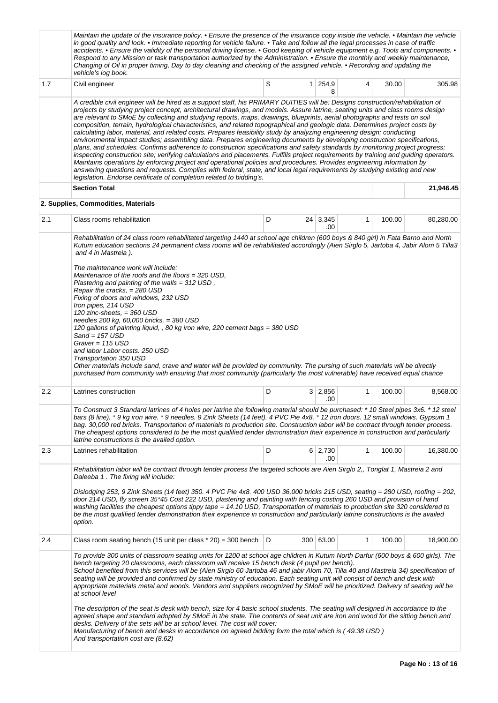|     | Maintain the update of the insurance policy. • Ensure the presence of the insurance copy inside the vehicle. • Maintain the vehicle<br>in good quality and look. • Immediate reporting for vehicle failure. • Take and follow all the legal processes in case of traffic<br>accidents. • Ensure the validity of the personal driving license. • Good keeping of vehicle equipment e.g. Tools and components. •<br>Respond to any Mission or task transportation authorized by the Administration. • Ensure the monthly and weekly maintenance,<br>Changing of Oil in proper timing, Day to day cleaning and checking of the assigned vehicle. • Recording and updating the<br>vehicle's log book.                                                                                                                                                                                                                                                                                                                                                                                                                                                                                                                                                                                                                                                                                            |   |                |                        |   |        |           |  |
|-----|----------------------------------------------------------------------------------------------------------------------------------------------------------------------------------------------------------------------------------------------------------------------------------------------------------------------------------------------------------------------------------------------------------------------------------------------------------------------------------------------------------------------------------------------------------------------------------------------------------------------------------------------------------------------------------------------------------------------------------------------------------------------------------------------------------------------------------------------------------------------------------------------------------------------------------------------------------------------------------------------------------------------------------------------------------------------------------------------------------------------------------------------------------------------------------------------------------------------------------------------------------------------------------------------------------------------------------------------------------------------------------------------|---|----------------|------------------------|---|--------|-----------|--|
| 1.7 | Civil engineer                                                                                                                                                                                                                                                                                                                                                                                                                                                                                                                                                                                                                                                                                                                                                                                                                                                                                                                                                                                                                                                                                                                                                                                                                                                                                                                                                                               | S | 1 <sup>1</sup> | 254.9<br>8             | 4 | 30.00  | 305.98    |  |
|     | A credible civil engineer will be hired as a support staff, his PRIMARY DUITIES will be: Designs construction/rehabilitation of<br>projects by studying project concept, architectural drawings, and models. Assure latrine, seating units and class rooms design<br>are relevant to SMoE by collecting and studying reports, maps, drawings, blueprints, aerial photographs and tests on soil<br>composition, terrain, hydrological characteristics, and related topographical and geologic data. Determines project costs by<br>calculating labor, material, and related costs. Prepares feasibility study by analyzing engineering design; conducting<br>environmental impact studies; assembling data. Prepares engineering documents by developing construction specifications,<br>plans, and schedules. Confirms adherence to construction specifications and safety standards by monitoring project progress;<br>inspecting construction site; verifying calculations and placements. Fulfills project requirements by training and guiding operators.<br>Maintains operations by enforcing project and operational policies and procedures. Provides engineering information by<br>answering questions and requests. Complies with federal, state, and local legal requirements by studying existing and new<br>legislation. Endorse certificate of completion related to bidding's. |   |                |                        |   |        |           |  |
|     | <b>Section Total</b>                                                                                                                                                                                                                                                                                                                                                                                                                                                                                                                                                                                                                                                                                                                                                                                                                                                                                                                                                                                                                                                                                                                                                                                                                                                                                                                                                                         |   |                |                        |   |        | 21,946.45 |  |
|     | 2. Supplies, Commodities, Materials                                                                                                                                                                                                                                                                                                                                                                                                                                                                                                                                                                                                                                                                                                                                                                                                                                                                                                                                                                                                                                                                                                                                                                                                                                                                                                                                                          |   |                |                        |   |        |           |  |
| 2.1 | Class rooms rehabilitation                                                                                                                                                                                                                                                                                                                                                                                                                                                                                                                                                                                                                                                                                                                                                                                                                                                                                                                                                                                                                                                                                                                                                                                                                                                                                                                                                                   | D |                | $24 \mid 3,345$<br>.00 | 1 | 100.00 | 80,280.00 |  |
| 2.2 | Rehabilitation of 24 class room rehabilitated targeting 1440 at school age children (600 boys & 840 girl) in Fata Barno and North<br>Kutum education sections 24 permanent class rooms will be rehabilitated accordingly (Aien Sirglo 5, Jartoba 4, Jabir Alom 5 Tilla3<br>and 4 in Mastreia).<br>The maintenance work will include:<br>Maintenance of the roofs and the floors = 320 USD,<br>Plastering and painting of the walls = 312 USD,<br>Repair the cracks, $= 280$ USD<br>Fixing of doors and windows, 232 USD<br>Iron pipes, 214 USD<br>120 zinc-sheets, $=$ 360 USD<br>needles 200 kg, 60,000 bricks, = 380 USD<br>120 gallons of painting liquid, , 80 kg iron wire, 220 cement bags = 380 USD<br>$Sand = 157$ USD<br>Graver = $115$ USD<br>and labor Labor costs. 250 USD<br>Transportation 350 USD<br>Other materials include sand, crave and water will be provided by community. The pursing of such materials will be directly<br>purchased from community with ensuring that most community (particularly the most vulnerable) have received equal chance                                                                                                                                                                                                                                                                                                                  |   |                |                        |   |        |           |  |
|     | D<br>$3 \mid 2,856$<br>1<br>100.00<br>8,568.00<br>Latrines construction<br>.00<br>To Construct 3 Standard latrines of 4 holes per latrine the following material should be purchased: * 10 Steel pipes 3x6. * 12 steel<br>bars (8 line). * 9 kg iron wire. * 9 needles. 9 Zink Sheets (14 feet). 4 PVC Pie 4x8. * 12 iron doors. 12 small windows. Gypsum 1<br>bag. 30,000 red bricks. Transportation of materials to production site. Construction labor will be contract through tender process.<br>The cheapest options considered to be the most qualified tender demonstration their experience in construction and particularly<br>latrine constructions is the availed option.                                                                                                                                                                                                                                                                                                                                                                                                                                                                                                                                                                                                                                                                                                        |   |                |                        |   |        |           |  |
| 2.3 | Latrines rehabilitation                                                                                                                                                                                                                                                                                                                                                                                                                                                                                                                                                                                                                                                                                                                                                                                                                                                                                                                                                                                                                                                                                                                                                                                                                                                                                                                                                                      | D |                | 6 2,730<br>.00         | 1 | 100.00 | 16,380.00 |  |
| 2.4 | Rehabilitation labor will be contract through tender process the targeted schools are Aien Sirglo 2,, Tonglat 1, Mastreia 2 and<br>Daleeba 1. The fixing will include:<br>Dislodging 253, 9 Zink Sheets (14 feet) 350. 4 PVC Pie 4x8. 400 USD 36,000 bricks 215 USD, seating = 280 USD, roofing = 202,<br>door 214 USD, fly screen 35*45 Cost 222 USD, plastering and painting with fencing costing 260 USD and provision of hand<br>washing facilities the cheapest options tippy tape = 14.10 USD, Transportation of materials to production site 320 considered to<br>be the most qualified tender demonstration their experience in construction and particularly latrine constructions is the availed<br>option.<br>300 63.00<br>Class room seating bench (15 unit per class $*$ 20) = 300 bench $ D $<br>1<br>100.00<br>18,900.00                                                                                                                                                                                                                                                                                                                                                                                                                                                                                                                                                      |   |                |                        |   |        |           |  |
|     | To provide 300 units of classroom seating units for 1200 at school age children in Kutum North Darfur (600 boys & 600 girls). The<br>bench targeting 20 classrooms, each classroom will receive 15 bench desk (4 pupil per bench).<br>School benefited from this services will be (Aien Sirglo 60 Jartoba 46 and jabir Alom 70, Tilla 40 and Mastreia 34) specification of<br>seating will be provided and confirmed by state ministry of education. Each seating unit will consist of bench and desk with<br>appropriate materials metal and woods. Vendors and suppliers recognized by SMoE will be prioritized. Delivery of seating will be<br>at school level<br>The description of the seat is desk with bench, size for 4 basic school students. The seating will designed in accordance to the                                                                                                                                                                                                                                                                                                                                                                                                                                                                                                                                                                                        |   |                |                        |   |        |           |  |
|     | agreed shape and standard adopted by SMoE in the state. The contents of seat unit are iron and wood for the sitting bench and<br>desks. Delivery of the sets will be at school level. The cost will cover:<br>Manufacturing of bench and desks in accordance on agreed bidding form the total which is (49.38 USD)<br>And transportation cost are (8.62)                                                                                                                                                                                                                                                                                                                                                                                                                                                                                                                                                                                                                                                                                                                                                                                                                                                                                                                                                                                                                                     |   |                |                        |   |        |           |  |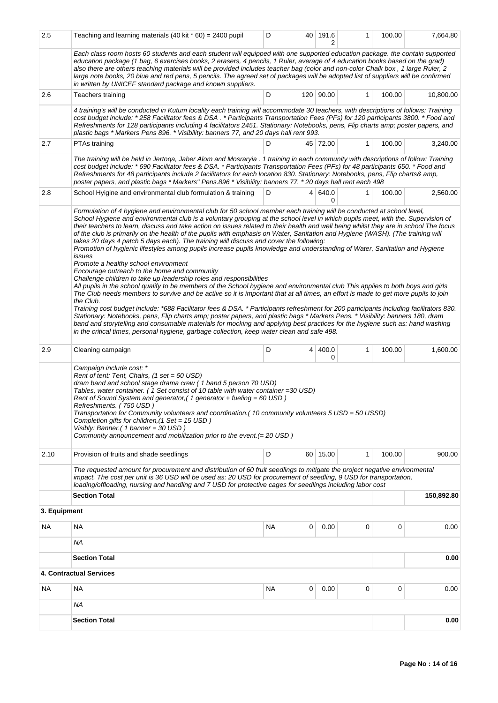| 2.5                                                                                                                                                                                                                                                                                                                                                                                                                                                                                                                                                                                                           | Teaching and learning materials $(40 \text{ kit} \cdot 60) = 2400 \text{ pupil}$                                                                                                                                                                                                                                                                                                                                                                                                                                                                                                                                                                                                                                                                                                                                                                                                                                                                                                                                                                                                                                                                                                                                                                                                                                                                                                                                                                                                                                                                                                                                                                                                                                                      | D   |   | 40 191.6       | 1            | 100.00 | 7,664.80  |  |  |
|---------------------------------------------------------------------------------------------------------------------------------------------------------------------------------------------------------------------------------------------------------------------------------------------------------------------------------------------------------------------------------------------------------------------------------------------------------------------------------------------------------------------------------------------------------------------------------------------------------------|---------------------------------------------------------------------------------------------------------------------------------------------------------------------------------------------------------------------------------------------------------------------------------------------------------------------------------------------------------------------------------------------------------------------------------------------------------------------------------------------------------------------------------------------------------------------------------------------------------------------------------------------------------------------------------------------------------------------------------------------------------------------------------------------------------------------------------------------------------------------------------------------------------------------------------------------------------------------------------------------------------------------------------------------------------------------------------------------------------------------------------------------------------------------------------------------------------------------------------------------------------------------------------------------------------------------------------------------------------------------------------------------------------------------------------------------------------------------------------------------------------------------------------------------------------------------------------------------------------------------------------------------------------------------------------------------------------------------------------------|-----|---|----------------|--------------|--------|-----------|--|--|
|                                                                                                                                                                                                                                                                                                                                                                                                                                                                                                                                                                                                               | Each class room hosts 60 students and each student will equipped with one supported education package. the contain supported<br>education package (1 bag, 6 exercises books, 2 erasers, 4 pencils, 1 Ruler, average of 4 education books based on the grad)<br>also there are others teaching materials will be provided includes teacher bag (color and non-color Chalk box, 1 large Ruler, 2<br>large note books, 20 blue and red pens, 5 pencils. The agreed set of packages will be adopted list of suppliers will be confirmed<br>in written by UNICEF standard package and known suppliers.                                                                                                                                                                                                                                                                                                                                                                                                                                                                                                                                                                                                                                                                                                                                                                                                                                                                                                                                                                                                                                                                                                                                     |     |   |                |              |        |           |  |  |
| 2.6                                                                                                                                                                                                                                                                                                                                                                                                                                                                                                                                                                                                           | Teachers training                                                                                                                                                                                                                                                                                                                                                                                                                                                                                                                                                                                                                                                                                                                                                                                                                                                                                                                                                                                                                                                                                                                                                                                                                                                                                                                                                                                                                                                                                                                                                                                                                                                                                                                     | D   |   | 120 90.00      | 1            | 100.00 | 10,800.00 |  |  |
|                                                                                                                                                                                                                                                                                                                                                                                                                                                                                                                                                                                                               | 4 training's will be conducted in Kutum locality each training will accommodate 30 teachers, with descriptions of follows: Training<br>cost budget include: *258 Facilitator fees & DSA. * Participants Transportation Fees (PFs) for 120 participants 3800. * Food and<br>Refreshments for 128 participants including 4 facilitators 2451. Stationary: Notebooks, pens, Flip charts amp; poster papers, and<br>plastic bags * Markers Pens 896. * Visibility: banners 77, and 20 days hall rent 993.                                                                                                                                                                                                                                                                                                                                                                                                                                                                                                                                                                                                                                                                                                                                                                                                                                                                                                                                                                                                                                                                                                                                                                                                                                 |     |   |                |              |        |           |  |  |
| 2.7                                                                                                                                                                                                                                                                                                                                                                                                                                                                                                                                                                                                           | PTAs training                                                                                                                                                                                                                                                                                                                                                                                                                                                                                                                                                                                                                                                                                                                                                                                                                                                                                                                                                                                                                                                                                                                                                                                                                                                                                                                                                                                                                                                                                                                                                                                                                                                                                                                         | D   |   | 45 72.00       | $\mathbf{1}$ | 100.00 | 3,240.00  |  |  |
|                                                                                                                                                                                                                                                                                                                                                                                                                                                                                                                                                                                                               | The training will be held in Jertoqa, Jaber Alom and Mosraryia . 1 training in each community with descriptions of follow: Training<br>cost budget include: * 690 Facilitator fees & DSA. * Participants Transportation Fees (PFs) for 48 participants 650. * Food and<br>Refreshments for 48 participants include 2 facilitators for each location 830. Stationary: Notebooks, pens, Flip charts& amp,<br>poster papers, and plastic bags * Markers" Pens.896 * Visibility: banners 77. * 20 days hall rent each 498                                                                                                                                                                                                                                                                                                                                                                                                                                                                                                                                                                                                                                                                                                                                                                                                                                                                                                                                                                                                                                                                                                                                                                                                                 |     |   |                |              |        |           |  |  |
| 2.8                                                                                                                                                                                                                                                                                                                                                                                                                                                                                                                                                                                                           | School Hyigine and environmental club formulation & training                                                                                                                                                                                                                                                                                                                                                                                                                                                                                                                                                                                                                                                                                                                                                                                                                                                                                                                                                                                                                                                                                                                                                                                                                                                                                                                                                                                                                                                                                                                                                                                                                                                                          | D   |   | 4   640.0<br>0 | 1            | 100.00 | 2,560.00  |  |  |
|                                                                                                                                                                                                                                                                                                                                                                                                                                                                                                                                                                                                               | Formulation of 4 hygiene and environmental club for 50 school member each training will be conducted at school level,<br>School Hygiene and environmental club is a voluntary grouping at the school level in which pupils meet, with the. Supervision of<br>their teachers to learn, discuss and take action on issues related to their health and well being whilst they are in school The focus<br>of the club is primarily on the health of the pupils with emphasis on Water, Sanitation and Hygiene (WASH). (The training will<br>takes 20 days 4 patch 5 days each). The training will discuss and cover the following:<br>Promotion of hygienic lifestyles among pupils increase pupils knowledge and understanding of Water, Sanitation and Hygiene<br>issues<br>Promote a healthy school environment<br>Encourage outreach to the home and community<br>Challenge children to take up leadership roles and responsibilities<br>All pupils in the school qualify to be members of the School hygiene and environmental club This applies to both boys and girls<br>The Club needs members to survive and be active so it is important that at all times, an effort is made to get more pupils to join<br>the Club.<br>Training cost budget include: *688 Facilitator fees & DSA. * Participants refreshment for 200 participants including facilitators 830.<br>Stationary: Notebooks, pens, Flip charts amp; poster papers, and plastic bags * Markers Pens. * Visibility: banners 180, dram<br>band and storytelling and consumable materials for mocking and applying best practices for the hygiene such as: hand washing<br>in the critical times, personal hygiene, garbage collection, keep water clean and safe 498. |     |   |                |              |        |           |  |  |
| 2.9                                                                                                                                                                                                                                                                                                                                                                                                                                                                                                                                                                                                           | Cleaning campaign                                                                                                                                                                                                                                                                                                                                                                                                                                                                                                                                                                                                                                                                                                                                                                                                                                                                                                                                                                                                                                                                                                                                                                                                                                                                                                                                                                                                                                                                                                                                                                                                                                                                                                                     | D   | 4 | 400.0<br>0     | $\mathbf{1}$ | 100.00 | 1,600.00  |  |  |
| Campaign include cost: *<br>Rent of tent: Tent, Chairs, (1 set = 60 USD)<br>dram band and school stage drama crew (1 band 5 person 70 USD)<br>Tables, water container. (1 Set consist of 10 table with water container = 30 USD)<br>Rent of Sound System and generator, (1 generator + fueling = 60 USD)<br>Refreshments. (750 USD)<br>Transportation for Community volunteers and coordination.(10 community volunteers 5 USD = 50 USSD)<br>Completion gifts for children.(1 Set = 15 USD)<br>Visibly: Banner.( 1 banner = 30 USD)<br>Community announcement and mobilization prior to the event. (= 20 USD) |                                                                                                                                                                                                                                                                                                                                                                                                                                                                                                                                                                                                                                                                                                                                                                                                                                                                                                                                                                                                                                                                                                                                                                                                                                                                                                                                                                                                                                                                                                                                                                                                                                                                                                                                       |     |   |                |              |        |           |  |  |
| 2.10                                                                                                                                                                                                                                                                                                                                                                                                                                                                                                                                                                                                          | Provision of fruits and shade seedlings                                                                                                                                                                                                                                                                                                                                                                                                                                                                                                                                                                                                                                                                                                                                                                                                                                                                                                                                                                                                                                                                                                                                                                                                                                                                                                                                                                                                                                                                                                                                                                                                                                                                                               | D   |   | 60 15.00       | 1            | 100.00 | 900.00    |  |  |
|                                                                                                                                                                                                                                                                                                                                                                                                                                                                                                                                                                                                               | The requested amount for procurement and distribution of 60 fruit seedlings to mitigate the project negative environmental<br>impact. The cost per unit is 36 USD will be used as: 20 USD for procurement of seedling, 9 USD for transportation,<br>loading/offloading, nursing and handling and 7 USD for protective cages for seedlings including labor cost                                                                                                                                                                                                                                                                                                                                                                                                                                                                                                                                                                                                                                                                                                                                                                                                                                                                                                                                                                                                                                                                                                                                                                                                                                                                                                                                                                        |     |   |                |              |        |           |  |  |
|                                                                                                                                                                                                                                                                                                                                                                                                                                                                                                                                                                                                               | <b>Section Total</b><br>150,892.80                                                                                                                                                                                                                                                                                                                                                                                                                                                                                                                                                                                                                                                                                                                                                                                                                                                                                                                                                                                                                                                                                                                                                                                                                                                                                                                                                                                                                                                                                                                                                                                                                                                                                                    |     |   |                |              |        |           |  |  |
| 3. Equipment                                                                                                                                                                                                                                                                                                                                                                                                                                                                                                                                                                                                  |                                                                                                                                                                                                                                                                                                                                                                                                                                                                                                                                                                                                                                                                                                                                                                                                                                                                                                                                                                                                                                                                                                                                                                                                                                                                                                                                                                                                                                                                                                                                                                                                                                                                                                                                       |     |   |                |              |        |           |  |  |
| NA.                                                                                                                                                                                                                                                                                                                                                                                                                                                                                                                                                                                                           | <b>NA</b>                                                                                                                                                                                                                                                                                                                                                                                                                                                                                                                                                                                                                                                                                                                                                                                                                                                                                                                                                                                                                                                                                                                                                                                                                                                                                                                                                                                                                                                                                                                                                                                                                                                                                                                             | NA. | 0 | 0.00           | 0            | 0      | 0.00      |  |  |
|                                                                                                                                                                                                                                                                                                                                                                                                                                                                                                                                                                                                               | ΝA                                                                                                                                                                                                                                                                                                                                                                                                                                                                                                                                                                                                                                                                                                                                                                                                                                                                                                                                                                                                                                                                                                                                                                                                                                                                                                                                                                                                                                                                                                                                                                                                                                                                                                                                    |     |   |                |              |        |           |  |  |
|                                                                                                                                                                                                                                                                                                                                                                                                                                                                                                                                                                                                               | <b>Section Total</b><br>0.00                                                                                                                                                                                                                                                                                                                                                                                                                                                                                                                                                                                                                                                                                                                                                                                                                                                                                                                                                                                                                                                                                                                                                                                                                                                                                                                                                                                                                                                                                                                                                                                                                                                                                                          |     |   |                |              |        |           |  |  |
|                                                                                                                                                                                                                                                                                                                                                                                                                                                                                                                                                                                                               | 4. Contractual Services                                                                                                                                                                                                                                                                                                                                                                                                                                                                                                                                                                                                                                                                                                                                                                                                                                                                                                                                                                                                                                                                                                                                                                                                                                                                                                                                                                                                                                                                                                                                                                                                                                                                                                               |     |   |                |              |        |           |  |  |
| NA                                                                                                                                                                                                                                                                                                                                                                                                                                                                                                                                                                                                            | NA                                                                                                                                                                                                                                                                                                                                                                                                                                                                                                                                                                                                                                                                                                                                                                                                                                                                                                                                                                                                                                                                                                                                                                                                                                                                                                                                                                                                                                                                                                                                                                                                                                                                                                                                    | ΝA  | 0 | 0.00           | 0            | 0      | 0.00      |  |  |
|                                                                                                                                                                                                                                                                                                                                                                                                                                                                                                                                                                                                               | ΝA                                                                                                                                                                                                                                                                                                                                                                                                                                                                                                                                                                                                                                                                                                                                                                                                                                                                                                                                                                                                                                                                                                                                                                                                                                                                                                                                                                                                                                                                                                                                                                                                                                                                                                                                    |     |   |                |              |        |           |  |  |
|                                                                                                                                                                                                                                                                                                                                                                                                                                                                                                                                                                                                               | <b>Section Total</b>                                                                                                                                                                                                                                                                                                                                                                                                                                                                                                                                                                                                                                                                                                                                                                                                                                                                                                                                                                                                                                                                                                                                                                                                                                                                                                                                                                                                                                                                                                                                                                                                                                                                                                                  |     |   |                |              |        | 0.00      |  |  |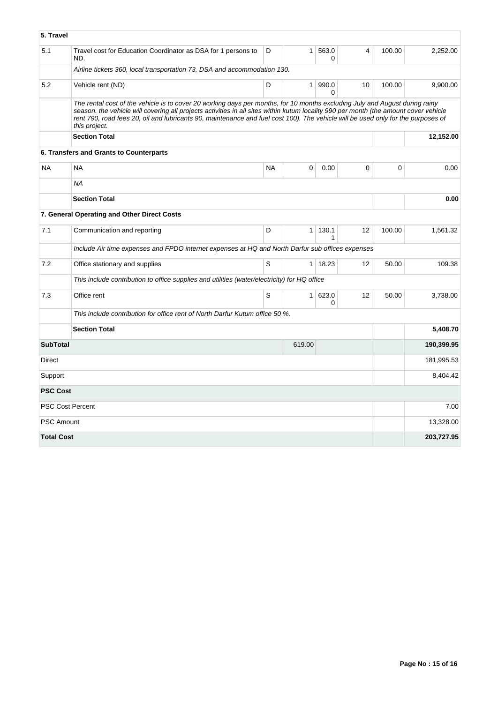| 5. Travel         |                                                                                                                                                                                                                                                                                                                                                                                                                          |           |                |                   |             |        |            |  |  |
|-------------------|--------------------------------------------------------------------------------------------------------------------------------------------------------------------------------------------------------------------------------------------------------------------------------------------------------------------------------------------------------------------------------------------------------------------------|-----------|----------------|-------------------|-------------|--------|------------|--|--|
| 5.1               | Travel cost for Education Coordinator as DSA for 1 persons to<br>ND.                                                                                                                                                                                                                                                                                                                                                     | D         | $\mathbf{1}$   | 563.0<br>$\Omega$ | 4           | 100.00 | 2,252.00   |  |  |
|                   | Airline tickets 360, local transportation 73, DSA and accommodation 130.                                                                                                                                                                                                                                                                                                                                                 |           |                |                   |             |        |            |  |  |
| 5.2               | Vehicle rent (ND)                                                                                                                                                                                                                                                                                                                                                                                                        | D         | 1              | 990.0<br>$\Omega$ | 10          | 100.00 | 9,900.00   |  |  |
|                   | The rental cost of the vehicle is to cover 20 working days per months, for 10 months excluding July and August during rainy<br>season. the vehicle will covering all projects activities in all sites within kutum locality 990 per month (the amount cover vehicle<br>rent 790, road fees 20, oil and lubricants 90, maintenance and fuel cost 100). The vehicle will be used only for the purposes of<br>this project. |           |                |                   |             |        |            |  |  |
|                   | <b>Section Total</b>                                                                                                                                                                                                                                                                                                                                                                                                     |           |                |                   |             |        |            |  |  |
|                   | 6. Transfers and Grants to Counterparts                                                                                                                                                                                                                                                                                                                                                                                  |           |                |                   |             |        |            |  |  |
| <b>NA</b>         | <b>NA</b>                                                                                                                                                                                                                                                                                                                                                                                                                | <b>NA</b> | $\mathbf 0$    | 0.00              | $\mathbf 0$ | 0      | 0.00       |  |  |
|                   | <b>NA</b>                                                                                                                                                                                                                                                                                                                                                                                                                |           |                |                   |             |        |            |  |  |
|                   | <b>Section Total</b>                                                                                                                                                                                                                                                                                                                                                                                                     |           |                |                   |             |        | 0.00       |  |  |
|                   | 7. General Operating and Other Direct Costs                                                                                                                                                                                                                                                                                                                                                                              |           |                |                   |             |        |            |  |  |
| 7.1               | Communication and reporting                                                                                                                                                                                                                                                                                                                                                                                              | D         | $\mathbf{1}$   | 130.1             | 12          | 100.00 | 1,561.32   |  |  |
|                   | Include Air time expenses and FPDO internet expenses at HQ and North Darfur sub offices expenses                                                                                                                                                                                                                                                                                                                         |           |                |                   |             |        |            |  |  |
| 7.2               | Office stationary and supplies                                                                                                                                                                                                                                                                                                                                                                                           | S         | $\mathbf{1}$   | 18.23             | 12          | 50.00  | 109.38     |  |  |
|                   | This include contribution to office supplies and utilities (water/electricity) for HQ office                                                                                                                                                                                                                                                                                                                             |           |                |                   |             |        |            |  |  |
| 7.3               | Office rent                                                                                                                                                                                                                                                                                                                                                                                                              | S         | 1 <sup>1</sup> | 623.0<br>0        | 12          | 50.00  | 3,738.00   |  |  |
|                   | This include contribution for office rent of North Darfur Kutum office 50 %.                                                                                                                                                                                                                                                                                                                                             |           |                |                   |             |        |            |  |  |
|                   | <b>Section Total</b>                                                                                                                                                                                                                                                                                                                                                                                                     |           |                |                   |             |        |            |  |  |
| <b>SubTotal</b>   |                                                                                                                                                                                                                                                                                                                                                                                                                          |           | 619.00         |                   |             |        | 190,399.95 |  |  |
| Direct            |                                                                                                                                                                                                                                                                                                                                                                                                                          |           |                |                   |             |        | 181,995.53 |  |  |
| Support           |                                                                                                                                                                                                                                                                                                                                                                                                                          |           |                |                   |             |        | 8,404.42   |  |  |
| <b>PSC Cost</b>   |                                                                                                                                                                                                                                                                                                                                                                                                                          |           |                |                   |             |        |            |  |  |
|                   | <b>PSC Cost Percent</b>                                                                                                                                                                                                                                                                                                                                                                                                  |           |                |                   |             |        | 7.00       |  |  |
| <b>PSC Amount</b> |                                                                                                                                                                                                                                                                                                                                                                                                                          |           |                |                   |             |        | 13,328.00  |  |  |
| <b>Total Cost</b> |                                                                                                                                                                                                                                                                                                                                                                                                                          |           |                |                   |             |        | 203,727.95 |  |  |